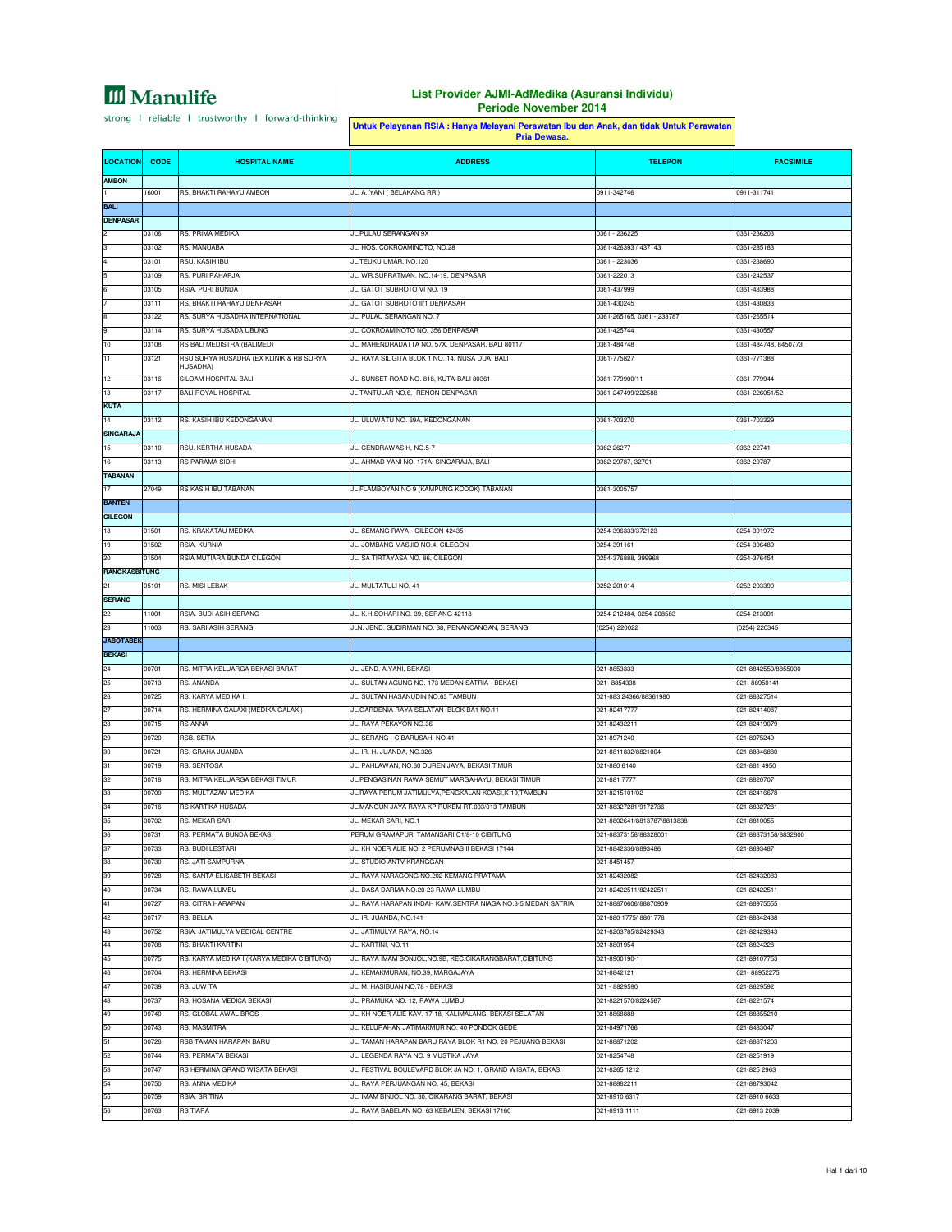### **List Provider AJMI-AdMedika (Asuransi Individu) Periode November 2014**

h

|                                 |                | Untuk Pelayanan RSIA : Hanya Melayani Perawatan Ibu dan Anak, dan tidak Untuk Perawatan<br>Pria Dewasa. |                                                                                                          |                                                     |                                |
|---------------------------------|----------------|---------------------------------------------------------------------------------------------------------|----------------------------------------------------------------------------------------------------------|-----------------------------------------------------|--------------------------------|
| <b>LOCATION</b>                 | <b>CODE</b>    | <b>HOSPITAL NAME</b>                                                                                    | <b>ADDRESS</b>                                                                                           | <b>TELEPON</b>                                      | <b>FACSIMILE</b>               |
| <b>AMBON</b>                    |                |                                                                                                         |                                                                                                          |                                                     |                                |
|                                 | 16001          | RS. BHAKTI RAHAYU AMBON                                                                                 | JL. A. YANI ( BELAKANG RRI)                                                                              | 0911-342746                                         | 0911-311741                    |
| <b>BALI</b><br><b>DENPASAR</b>  |                |                                                                                                         |                                                                                                          |                                                     |                                |
|                                 | 03106          | RS. PRIMA MEDIKA                                                                                        | JL.PULAU SERANGAN 9X                                                                                     | 0361 - 236225                                       | 0361-236203                    |
|                                 | 03102          | RS. MANUABA                                                                                             | JL. HOS. COKROAMINOTO, NO.28                                                                             | 0361-426393 / 437143                                | 0361-285183                    |
|                                 | 03101          | RSU. KASIH IBU                                                                                          | JL.TEUKU UMAR, NO.120                                                                                    | 0361 - 223036                                       | 0361-238690                    |
|                                 | 03109          | RS. PURI RAHARJA<br>RSIA. PURI BUNDA                                                                    | JL. WR.SUPRATMAN, NO.14-19, DENPASAR                                                                     | 0361-222013<br>0361-437999                          | 0361-242537<br>0361-433988     |
|                                 | 03105<br>03111 | RS. BHAKTI RAHAYU DENPASAR                                                                              | JL. GATOT SUBROTO VI NO. 19<br>JL. GATOT SUBROTO II/1 DENPASAR                                           | 0361-430245                                         | 0361-430833                    |
|                                 | 03122          | RS. SURYA HUSADHA INTERNATIONAL                                                                         | JL. PULAU SERANGAN NO. 7                                                                                 | 0361-265165, 0361 - 233787                          | 0361-265514                    |
|                                 | 03114          | RS. SURYA HUSADA UBUNG                                                                                  | JL. COKROAMINOTO NO. 356 DENPASAR                                                                        | 0361-425744                                         | 0361-430557                    |
| 10                              | 03108          | RS BALI MEDISTRA (BALIMED)                                                                              | JL. MAHENDRADATTA NO. 57X, DENPASAR, BALI 80117                                                          | 0361-484748                                         | 0361-484748, 8450773           |
| 11                              | 03121          | RSU SURYA HUSADHA (EX KLINIK & RB SURYA<br>HUSADHA)                                                     | JL. RAYA SILIGITA BLOK 1 NO. 14, NUSA DUA, BALI                                                          | 0361-775827                                         | 0361-771388                    |
| 12                              | 03116          | SILOAM HOSPITAL BALI                                                                                    | JL. SUNSET ROAD NO. 818, KUTA-BALI 80361                                                                 | 0361-779900/11                                      | 0361-779944                    |
| 13                              | 03117          | <b>BALI ROYAL HOSPITAL</b>                                                                              | JL TANTULAR NO.6, RENON-DENPASAR                                                                         | 0361-247499/222588                                  | 0361-226051/52                 |
| <b>KUTA</b><br>14               |                |                                                                                                         | JL. ULUWATU NO. 69A, KEDONGANAN                                                                          | 0361-703270                                         | 0361-703329                    |
| <b>SINGARAJA</b>                | 03112          | RS. KASIH IBU KEDONGANAN                                                                                |                                                                                                          |                                                     |                                |
| 15                              | 03110          | RSU. KERTHA HUSADA                                                                                      | JL. CENDRAWASIH, NO.5-7                                                                                  | 0362-26277                                          | 0362-22741                     |
| 16                              | 03113          | RS PARAMA SIDHI                                                                                         | JL. AHMAD YANI NO. 171A, SINGARAJA, BALI                                                                 | 0362-29787, 32701                                   | 0362-29787                     |
| <b>TABANAN</b>                  |                |                                                                                                         |                                                                                                          |                                                     |                                |
| 17                              | 27049          | RS KASIH IBU TABANAN                                                                                    | JL FLAMBOYAN NO 9 (KAMPUNG KODOK) TABANAN                                                                | 0361-3005757                                        |                                |
| <b>BANTEN</b><br><b>CILEGON</b> |                |                                                                                                         |                                                                                                          |                                                     |                                |
| 18                              | 01501          | RS. KRAKATAU MEDIKA                                                                                     | JL. SEMANG RAYA - CILEGON 42435                                                                          | 0254-396333/372123                                  | 0254-391972                    |
| 19                              | 01502          | RSIA. KURNIA                                                                                            | JL. JOMBANG MASJID NO.4, CILEGON                                                                         | 0254-391161                                         | 0254-396489                    |
| 20                              | 01504          | RSIA MUTIARA BUNDA CILEGON                                                                              | JL. SA TIRTAYASA NO. 86, CILEGON                                                                         | 0254-376888, 399968                                 | 0254-376454                    |
| <b>RANGKASBITUNG</b>            |                |                                                                                                         |                                                                                                          |                                                     |                                |
| 21                              | 05101          | <b>RS. MISI LEBAK</b>                                                                                   | JL. MULTATULI NO. 41                                                                                     | 0252-201014                                         | 0252-203390                    |
| <b>SERANG</b><br>22             | 11001          | RSIA. BUDI ASIH SERANG                                                                                  | JL. K.H.SOHARI NO. 39, SERANG 42118                                                                      | 0254-212484, 0254-208583                            | 0254-213091                    |
| 23                              | 11003          | RS. SARI ASIH SERANG                                                                                    | JLN. JEND. SUDIRMAN NO. 38, PENANCANGAN, SERANG                                                          | (0254) 220022                                       | (0254) 220345                  |
| <b>JABOTABEK</b>                |                |                                                                                                         |                                                                                                          |                                                     |                                |
| <b>BEKASI</b>                   |                |                                                                                                         |                                                                                                          |                                                     |                                |
| 24                              | 00701          | RS. MITRA KELUARGA BEKASI BARAT                                                                         | JL. JEND. A.YANI, BEKASI                                                                                 | 021-8853333                                         | 021-8842550/8855000            |
| 25                              | 00713          | RS. ANANDA                                                                                              | JL. SULTAN AGUNG NO. 173 MEDAN SATRIA - BEKASI                                                           | 021-8854338                                         | 021-88950141                   |
| 26                              | 00725          | RS. KARYA MEDIKA II                                                                                     | JL. SULTAN HASANUDIN NO.63 TAMBUN                                                                        | 021-883 24366/88361980                              | 021-88327514                   |
| 27<br>28                        | 00714<br>00715 | RS. HERMINA GALAXI (MEDIKA GALAXI)<br><b>RS ANNA</b>                                                    | JL.GARDENIA RAYA SELATAN BLOK BA1 NO.11<br>JL. RAYA PEKAYON NO.36                                        | 021-82417777<br>021-82432211                        | 021-82414087<br>021-82419079   |
| 29                              | 00720          | RSB. SETIA                                                                                              | JL. SERANG - CIBARUSAH, NO.41                                                                            | 021-8971240                                         | 021-8975249                    |
| 30                              | 00721          | RS. GRAHA JUANDA                                                                                        | JL. IR. H. JUANDA, NO.326                                                                                | 021-8811832/8821004                                 | 021-88346880                   |
| 31                              | 00719          | RS. SENTOSA                                                                                             | JL. PAHLAWAN, NO.60 DUREN JAYA, BEKASI TIMUR                                                             | 021-880 6140                                        | 021-881 4950                   |
| 32                              | 00718          | RS. MITRA KELUARGA BEKASI TIMUR                                                                         | JL.PENGASINAN RAWA SEMUT MARGAHAYU, BEKASI TIMUR                                                         | 021-881 7777                                        | 021-8820707                    |
| 33<br>34                        | 00709          | RS. MULTAZAM MEDIKA<br>RS KARTIKA HUSADA                                                                | JL.RAYA PERUM JATIMULYA, PENGKALAN KOASI, K-19, TAMBUN<br>JL.MANGUN JAYA RAYA KP.RUKEM RT.003/013 TAMBUN | 021-8215101/02                                      | 021-82416678<br>021-88327281   |
|                                 | 00716<br>0702  | RS. MEKAR SARI                                                                                          | JL. MEKAR SARI, NO.1                                                                                     | 021-88327281/9172736<br>021-8802641/8813787/8813838 | 021-8810055                    |
| 36                              | 00731          | RS. PERMATA BUNDA BEKASI                                                                                | PERUM GRAMAPURI TAMANSARI C1/8-10 CIBITUNG                                                               | 021-88373158/88328001                               | 021-88373158/8832800           |
| 37                              | 00733          | RS. BUDI LESTARI                                                                                        | JL. KH NOER ALIE NO. 2 PERUMNAS II BEKASI 17144                                                          | 021-8842336/8893486                                 | 021-8893487                    |
| 38                              | 00730          | RS. JATI SAMPURNA                                                                                       | JL. STUDIO ANTV KRANGGAN                                                                                 | 021-8451457                                         |                                |
| 39                              | 00728          | RS. SANTA ELISABETH BEKASI                                                                              | JL. RAYA NARAGONG NO.202 KEMANG PRATAMA                                                                  | 021-82432082                                        | 021-82432083                   |
| 40<br>41                        | 00734<br>00727 | RS. RAWA LUMBU<br>RS. CITRA HARAPAN                                                                     | JL. DASA DARMA NO.20-23 RAWA LUMBU<br>JL. RAYA HARAPAN INDAH KAW.SENTRA NIAGA NO.3-5 MEDAN SATRIA        | 021-82422511/82422511<br>021-88870606/88870909      | 021-82422511<br>021-88975555   |
| 42                              | 00717          | RS. BELLA                                                                                               | JL. IR. JUANDA, NO.141                                                                                   | 021-880 1775/8801778                                | 021-88342438                   |
| 43                              | 00752          | RSIA. JATIMULYA MEDICAL CENTRE                                                                          | JL. JATIMULYA RAYA, NO.14                                                                                | 021-8203785/82429343                                | 021-82429343                   |
| 44                              | 00708          | RS. BHAKTI KARTINI                                                                                      | JL. KARTINI, NO.11                                                                                       | 021-8801954                                         | 021-8824228                    |
| 45                              | 00775          | RS. KARYA MEDIKA I (KARYA MEDIKA CIBITUNG)                                                              | JL. RAYA IMAM BONJOL, NO.9B, KEC.CIKARANGBARAT, CIBITUNG                                                 | 021-8900190-1                                       | 021-89107753                   |
| 46                              | 00704          | RS. HERMINA BEKASI                                                                                      | JL. KEMAKMURAN, NO.39, MARGAJAYA                                                                         | 021-8842121                                         | 021-88952275                   |
| 47<br>48                        | 00739<br>00737 | RS. JUWITA<br>RS. HOSANA MEDICA BEKASI                                                                  | JL. M. HASIBUAN NO.78 - BEKASI<br>JL. PRAMUKA NO. 12, RAWA LUMBU                                         | 021 - 8829590<br>021-8221570/8224587                | 021-8829592<br>021-8221574     |
| 49                              | 00740          | RS. GLOBAL AWAL BROS                                                                                    | JL. KH NOER ALIE KAV. 17-18, KALIMALANG, BEKASI SELATAN                                                  | 021-8868888                                         | 021-88855210                   |
| 50                              | 00743          | RS. MASMITRA                                                                                            | JL. KELURAHAN JATIMAKMUR NO. 40 PONDOK GEDE                                                              | 021-84971766                                        | 021-8483047                    |
| 51                              | 00726          | RSB TAMAN HARAPAN BARU                                                                                  | JL. TAMAN HARAPAN BARU RAYA BLOK R1 NO. 20 PEJUANG BEKASI                                                | 021-88871202                                        | 021-88871203                   |
| 52                              | 00744          | RS. PERMATA BEKASI                                                                                      | JL. LEGENDA RAYA NO. 9 MUSTIKA JAYA                                                                      | 021-8254748                                         | 021-8251919                    |
| 53                              | 00747          | RS HERMINA GRAND WISATA BEKASI                                                                          | JL. FESTIVAL BOULEVARD BLOK JA NO. 1, GRAND WISATA, BEKASI                                               | 021-8265 1212                                       | 021-825 2963                   |
| 54<br>55                        | 00750          | RS. ANNA MEDIKA                                                                                         | JL. RAYA PERJUANGAN NO. 45, BEKASI                                                                       | 021-88882211                                        | 021-88793042                   |
| 56                              | 00759<br>00763 | RSIA. SRITINA<br><b>RS TIARA</b>                                                                        | JL. IMAM BINJOL NO. 80, CIKARANG BARAT, BEKASI<br>JL. RAYA BABELAN NO. 63 KEBALEN, BEKASI 17160          | 021-8910 6317<br>021-8913 1111                      | 021-8910 6633<br>021-8913 2039 |
|                                 |                |                                                                                                         |                                                                                                          |                                                     |                                |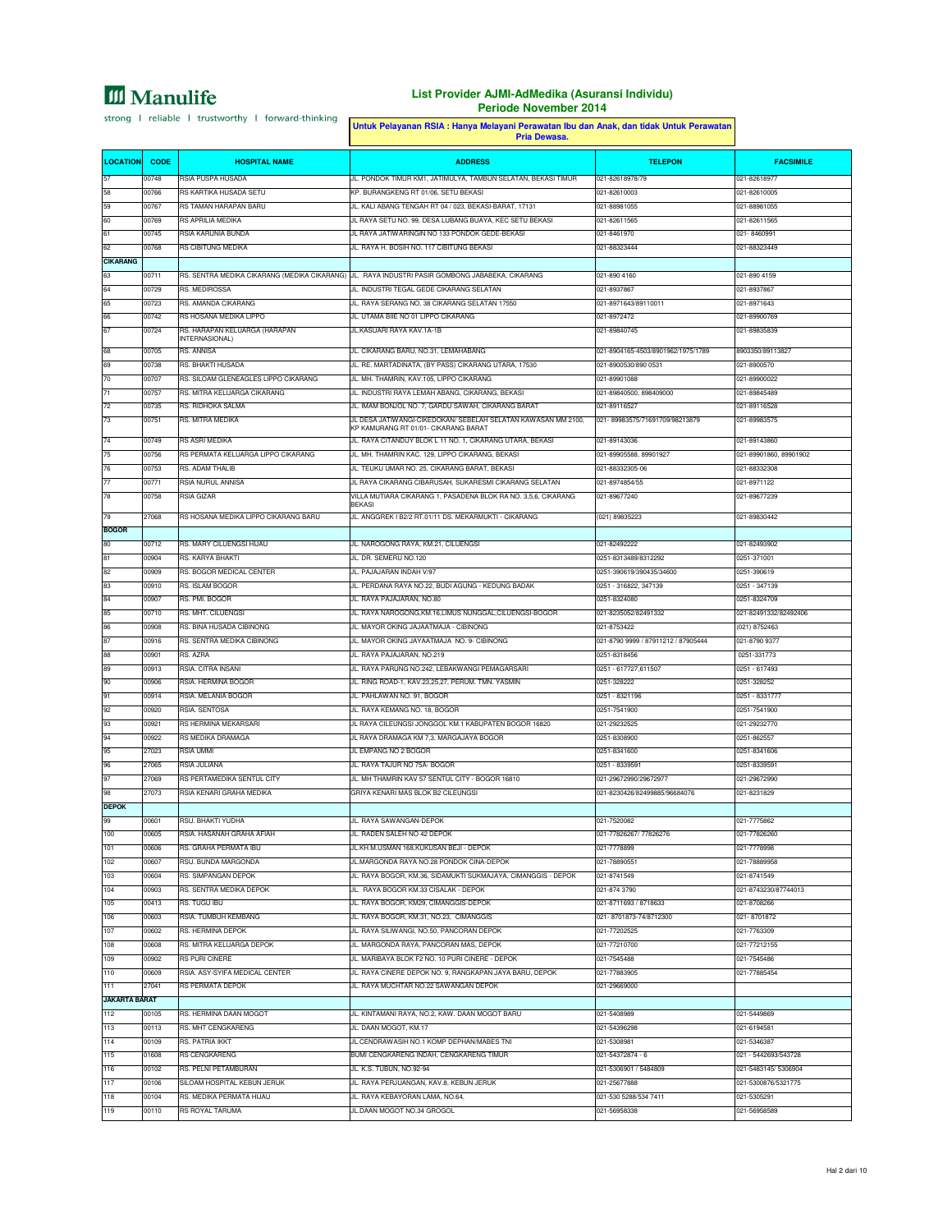### **List Provider AJMI-AdMedika (Asuransi Individu) Periode November 2014**

à,

|                      |                |                                                   | Untuk Pelayanan RSIA : Hanya Melayani Perawatan Ibu dan Anak, dan tidak Untuk Perawatan<br>Pria Dewasa.                  |                                                            |                                 |
|----------------------|----------------|---------------------------------------------------|--------------------------------------------------------------------------------------------------------------------------|------------------------------------------------------------|---------------------------------|
| <b>LOCATION</b>      | <b>CODE</b>    | <b>HOSPITAL NAME</b>                              | <b>ADDRESS</b>                                                                                                           | <b>TELEPON</b>                                             | <b>FACSIMILE</b>                |
| 57                   | 00748          | RSIA PUSPA HUSADA                                 | JL. PONDOK TIMUR KM1, JATIMULYA, TAMBUN SELATAN, BEKASI TIMUR                                                            | 021-82618978/79                                            | 021-82618977                    |
| 58<br>59             | 00766<br>00767 | RS KARTIKA HUSADA SETU<br>RS TAMAN HARAPAN BARU   | KP. BURANGKENG RT 01/06, SETU BEKASI<br>JL. KALI ABANG TENGAH RT 04 / 023, BEKASI-BARAT, 17131                           | 021-82610003<br>021-88981055                               | 021-82610005<br>021-88981055    |
| 60                   | 00769          | <b>RS APRILIA MEDIKA</b>                          | JL RAYA SETU NO. 99, DESA LUBANG BUAYA, KEC SETU BEKASI                                                                  | 021-82611565                                               | 021-82611565                    |
| 61                   | 00745          | RSIA KARUNIA BUNDA                                | JL RAYA JATIWARINGIN NO 133 PONDOK GEDE-BEKASI                                                                           | 021-8461970                                                | 021-8460991                     |
| 62                   | 00768          | RS CIBITUNG MEDIKA                                | JL. RAYA H. BOSIH NO. 117 CIBITUNG BEKASI                                                                                | 021-88323444                                               | 021-88323449                    |
| <b>CIKARANG</b>      |                |                                                   |                                                                                                                          |                                                            |                                 |
| 63                   | 00711          |                                                   | RS. SENTRA MEDIKA CIKARANG (MEDIKA CIKARANG) JL. RAYA INDUSTRI PASIR GOMBONG JABABEKA, CIKARANG                          | 021-890 4160                                               | 021-890 4159                    |
| 64<br>65             | 00729<br>00723 | RS. MEDIROSSA<br>RS. AMANDA CIKARANG              | JL. INDUSTRI TEGAL GEDE CIKARANG SELATAN<br>JL. RAYA SERANG NO. 38 CIKARANG SELATAN 17550                                | 021-8937867<br>021-8971643/89110011                        | 021-8937867                     |
| 66                   | 00742          | RS HOSANA MEDIKA LIPPO                            | JL. UTAMA BIIE NO 01 LIPPO CIKARANG                                                                                      | 021-8972472                                                | 021-8971643<br>021-89900769     |
| 67                   | 00724          | RS. HARAPAN KELUARGA (HARAPAN                     | JL.KASUARI RAYA KAV.1A-1B                                                                                                | 021-89840745                                               | 021-89835839                    |
|                      |                | INTERNASIONAL)                                    |                                                                                                                          |                                                            |                                 |
| 68<br>69             | 00705<br>00738 | RS. ANNISA<br>RS. BHAKTI HUSADA                   | JL. CIKARANG BARU, NO.31, LEMAHABANG<br>JL. RE. MARTADINATA, (BY PASS) CIKARANG UTARA, 17530                             | 021-8904165-4503/8901962/1975/1789<br>021-8900530/890 0531 | 8903350/89113827<br>021-8900570 |
| 70                   | 00707          | RS. SILOAM GLENEAGLES LIPPO CIKARANG              | JL. MH. THAMRIN, KAV.105, LIPPO CIKARANG                                                                                 | 021-89901088                                               | 021-89900022                    |
| $\overline{7}1$      | 00757          | RS. MITRA KELUARGA CIKARANG                       | JL. INDUSTRI RAYA LEMAH ABANG, CIKARANG, BEKASI                                                                          | 021-89840500, 898409000                                    | 021-89845489                    |
| 72                   | 00735          | RS. RIDHOKA SALMA                                 | JL. IMAM BONJOL NO. 7, GARDU SAWAH, CIKARANG BARAT                                                                       | 021-89116527                                               | 021-89116528                    |
| 73                   | 00751          | RS. MITRA MEDIKA                                  | JL DESA JATIWANGI-CIKEDOKAN/ SEBELAH SELATAN KAWASAN MM 2100,<br>KP KAMURANG RT 01/01- CIKARANG BARAT                    | 021-89983575/71691709/98213879                             | 021-89983575                    |
| 74                   | 00749          | <b>RS ASRI MEDIKA</b>                             | JL. RAYA CITANDUY BLOK L 11 NO. 1, CIKARANG UTARA, BEKASI                                                                | 021-89143036                                               | 021-89143860                    |
| 75                   | 00756          | RS PERMATA KELUARGA LIPPO CIKARANG                | JL. MH. THAMRIN KAC. 129. LIPPO CIKARANG, BEKASI                                                                         | 021-89905588, 89901927                                     | 021-89901860, 89901902          |
| 76                   | 00753          | RS. ADAM THALIB                                   | JL. TEUKU UMAR NO. 25. CIKARANG BARAT, BEKASI                                                                            | 021-88332305-06                                            | 021-88332308                    |
| 78                   | 00771<br>00758 | RSIA NURUL ANNISA<br><b>RSIA GIZAR</b>            | JL RAYA CIKARANG CIBARUSAH, SUKARESMI CIKARANG SELATAN<br>VILLA MUTIARA CIKARANG 1, PASADENA BLOK RA NO. 3,5,6, CIKARANG | 021-8974854/55<br>021-89677240                             | 021-8971122<br>021-89677239     |
|                      |                |                                                   | <b>BEKASI</b>                                                                                                            |                                                            |                                 |
| 79                   | 27068          | RS HOSANA MEDIKA LIPPO CIKARANG BARU              | JL. ANGGREK I B2/2 RT.01/11 DS. MEKARMUKTI - CIKARANG                                                                    | (021) 89835223                                             | 021-89830442                    |
| <b>BOGOR</b>         |                |                                                   |                                                                                                                          |                                                            |                                 |
| 80                   | 00712          | <b>RS. MARY CILUENGSI HUAU</b>                    | JL. NAROGONG RAYA, KM.21, CILUENGSI                                                                                      | 021-82492222<br>0251-8313489/8312292                       | 021-82493902<br>0251-371001     |
| 81<br>82             | 00904<br>00909 | RS. KARYA BHAKTI<br>RS. BOGOR MEDICAL CENTER      | JL. DR. SEMERU NO.120<br>JL. PAJAJARAN INDAH V/97                                                                        | 0251-390619/390435/34600                                   | 0251-390619                     |
| 83                   | 00910          | RS. ISLAM BOGOR                                   | JL. PERDANA RAYA NO.22, BUDI AGUNG - KEDUNG BADAK                                                                        | 0251 - 316822, 347139                                      | 0251 - 347139                   |
| 84                   | 00907          | RS. PMI. BOGOR                                    | JL. RAYA PAJAJARAN, NO.80                                                                                                | 0251-8324080                                               | 0251-8324709                    |
| 85                   | 00710          | RS. MHT. CILUENGSI                                | JL. RAYA NAROGONG, KM. 16, LIMUS NUNGGAL, CILUENGSI-BOGOR                                                                | 021-8235052/82491332                                       | 021-82491332/82492406           |
| 86                   | 00908          | RS. BINA HUSADA CIBINONG                          | JL. MAYOR OKING JAJAATMAJA - CIBINONG                                                                                    | 021-8753422                                                | (021) 8752463                   |
| 87                   | 00916          | RS. SENTRA MEDIKA CIBINONG                        | JL. MAYOR OKING JAYAATMAJA NO. 9- CIBINONG                                                                               | 021-8790 9999 / 87911212 / 87905444                        | 021-8790 9377                   |
| 88                   | 00901          | RS. AZRA                                          | JL. RAYA PAJAJARAN, NO.219                                                                                               | 0251-8318456                                               | 0251-331773                     |
| 89                   | 00913          | RSIA. CITRA INSANI                                | JL. RAYA PARUNG NO.242, LEBAKWANGI PEMAGARSARI                                                                           | 0251 - 617727,611507                                       | 0251 - 617493                   |
| 90<br>91             | 00906<br>00914 | RSIA. HERMINA BOGOR<br>RSIA. MELANIA BOGOR        | JL. RING ROAD-1, KAV.23,25,27, PERUM. TMN. YASMIN<br>JL. PAHLAWAN NO. 91, BOGOR                                          | 0251-328222<br>0251 - 8321196                              | 0251-328252<br>0251 - 8331777   |
| 92                   | 00920          | RSIA, SENTOSA                                     | JL. RAYA KEMANG NO. 18, BOGOR                                                                                            | 0251-7541900                                               | 0251-7541900                    |
| 93                   | 00921          | RS HERMINA MEKARSARI                              | JL RAYA CILEUNGSI JONGGOL KM.1 KABUPATEN BOGOR 16820                                                                     | 021-29232525                                               | 021-29232770                    |
| 94                   | 00922          | RS MEDIKA DRAMAGA                                 | JL RAYA DRAMAGA KM 7,3, MARGAJAYA BOGOR                                                                                  | 0251-8308900                                               | 0251-862557                     |
| 95                   | 27023          | <b>RSIA UMMI</b>                                  | JL EMPANG NO 2 BOGOR                                                                                                     | 0251-8341600                                               | 0251-8341606                    |
| 96                   | 27065          | RSIA JULIANA                                      | JL. RAYA TAJUR NO 75A- BOGOR                                                                                             | 0251 - 8339591                                             | 0251-8339591                    |
| 97                   | 27069          | RS PERTAMEDIKA SENTUL CITY                        | JL. MH THAMRIN KAV 57 SENTUL CITY - BOGOR 16810                                                                          | 021-29672990/29672977                                      | 021-29672990                    |
| 98                   | 27073          | RSIA KENARI GRAHA MEDIKA                          | GRIYA KENARI MAS BLOK B2 CILEUNGSI                                                                                       | 021-8230426/82499885/96684076                              | 021-8231829                     |
| <b>DEPOK</b>         |                |                                                   | JL. RAYA SAWANGAN-DEPOK                                                                                                  | 021-7520082                                                | 021-7775862                     |
| 100                  | 00601<br>00605 | RSU. BHAKTI YUDHA<br>RSIA. HASANAH GRAHA AFIAH    | JL. RADEN SALEH NO 42 DEPOK                                                                                              | 021-77826267/ 77826276                                     | 021-77826260                    |
| 101                  | 00606          | RS. GRAHA PERMATA IBU                             | JL.KH.M.USMAN 168,KUKUSAN BEJI - DEPOK                                                                                   | 021-7778899                                                | 021-7778998                     |
| 102                  | 00607          | RSU. BUNDA MARGONDA                               | JL.MARGONDA RAYA NO.28 PONDOK CINA-DEPOK                                                                                 | 021-78890551                                               | 021-78889958                    |
| 103                  | 00604          | RS. SIMPANGAN DEPOK                               | JL. RAYA BOGOR, KM.36, SIDAMUKTI SUKMAJAYA, CIMANGGIS - DEPOK                                                            | 021-8741549                                                | 021-8741549                     |
| 104                  | 00903          | RS. SENTRA MEDIKA DEPOK                           | JL. RAYA BOGOR KM.33 CISALAK - DEPOK                                                                                     | 021-874 3790                                               | 021-8743230/87744013            |
| 105                  | 00413          | RS. TUGU IBU                                      | JL. RAYA BOGOR, KM29, CIMANGGIS-DEPOK                                                                                    | 021-8711693 / 8718633                                      | 021-8708266                     |
| 106                  | 00603          | RSIA. TUMBUH KEMBANG                              | JL. RAYA BOGOR, KM.31, NO.23, CIMANGGIS                                                                                  | 021-8701873-74/8712300                                     | 021-8701872                     |
| 107                  | 00602          | RS. HERMINA DEPOK                                 | JL. RAYA SILIWANGI, NO.50, PANCORAN DEPOK                                                                                | 021-77202525                                               | 021-7763309                     |
| 108<br>109           | 00608<br>00902 | RS. MITRA KELUARGA DEPOK<br><b>RS PURI CINERE</b> | JL. MARGONDA RAYA, PANCORAN MAS, DEPOK<br>JL. MARIBAYA BLOK F2 NO. 10 PURI CINERE - DEPOK                                | 021-77210700<br>021-7545488                                | 021-77212155<br>021-7545486     |
| 110                  | 00609          | RSIA. ASY-SYIFA MEDICAL CENTER                    | JL. RAYA CINERE DEPOK NO. 9, RANGKAPAN JAYA BARU, DEPOK                                                                  | 021-77883905                                               | 021-77885454                    |
| 111                  | 27041          | <b>RS PERMATA DEPOK</b>                           | JL. RAYA MUCHTAR NO.22 SAWANGAN DEPOK                                                                                    | 021-29669000                                               |                                 |
| <b>JAKARTA BARAT</b> |                |                                                   |                                                                                                                          |                                                            |                                 |
| 112                  | 00105          | RS. HERMINA DAAN MOGOT                            | JL. KINTAMANI RAYA, NO.2, KAW. DAAN MOGOT BARU                                                                           | 021-5408989                                                | 021-5449869                     |
| 113<br>114           | 00113<br>00109 | RS. MHT CENGKARENG<br>RS. PATRIA IKKT             | JL. DAAN MOGOT, KM.17<br>JL.CENDRAWASIH NO.1 KOMP DEPHAN/MABES TNI                                                       | 021-54396298<br>021-5308981                                | 021-6194581<br>021-5346387      |
| 115                  | 01608          | RS CENGKARENG                                     | BUMI CENGKARENG INDAH, CENGKARENG TIMUR                                                                                  | 021-54372874 - 6                                           | 021 - 5442693/543728            |
| 116                  | 00102          | RS. PELNI PETAMBURAN                              | JL. K.S. TUBUN, NO.92-94                                                                                                 | 021-5306901 / 5484809                                      | 021-5483145/5306904             |
| 117                  | 00106          | SILOAM HOSPITAL KEBUN JERUK                       | JL. RAYA PERJUANGAN, KAV.8, KEBUN JERUK                                                                                  | 021-25677888                                               | 021-5300876/5321775             |
| 118                  | 00104          | RS. MEDIKA PERMATA HIJAU                          | JL. RAYA KEBAYORAN LAMA, NO.64,                                                                                          | 021-530 5288/534 7411                                      | 021-5305291                     |
| 119                  | 00110          | <b>RS ROYAL TARUMA</b>                            | JL.DAAN MOGOT NO.34 GROGOL                                                                                               | 021-56958338                                               | 021-56958589                    |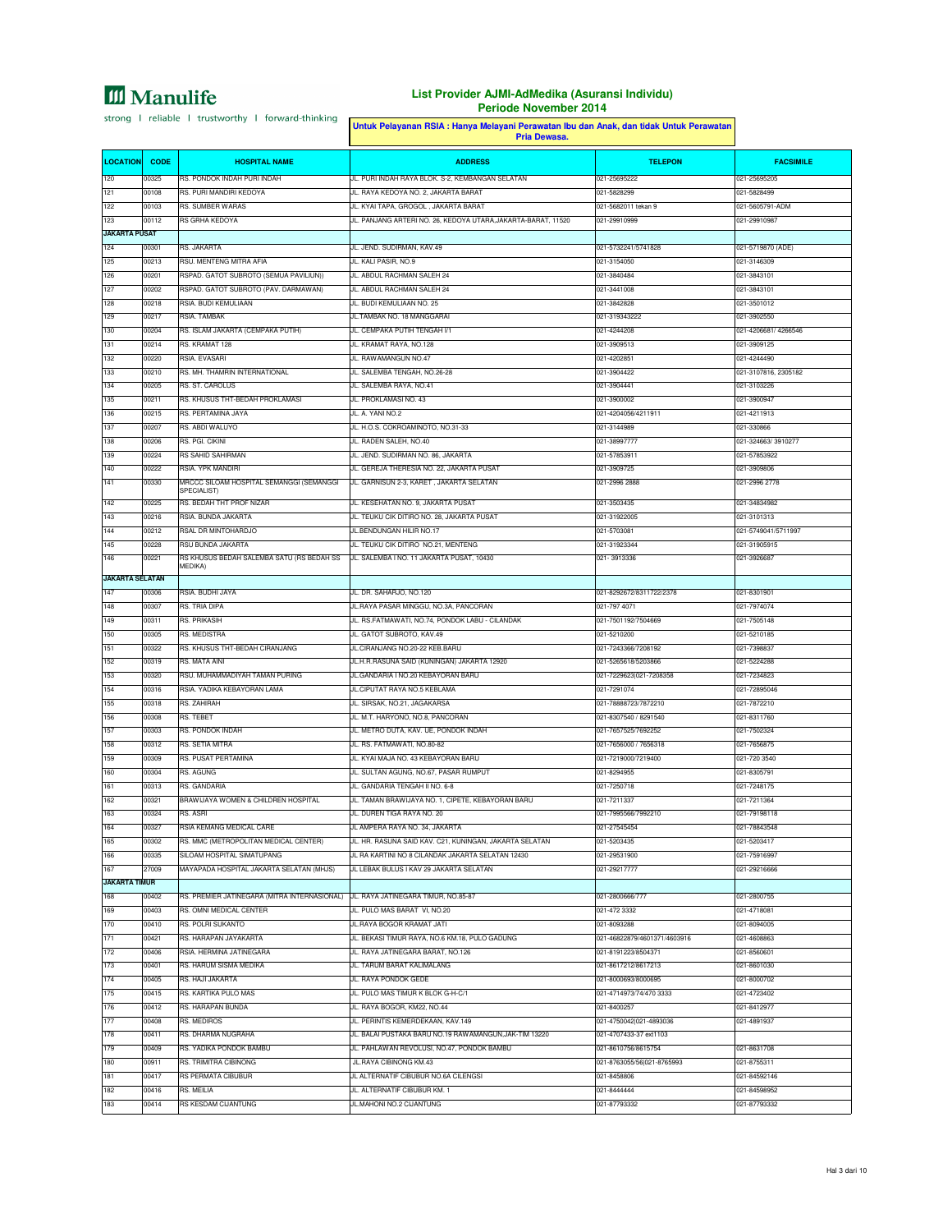|                               |                | Untuk Pelayanan RSIA : Hanya Melayani Perawatan Ibu dan Anak, dan tidak Untuk Perawatan<br>Pria Dewasa. |                                                                 |                                            |                             |
|-------------------------------|----------------|---------------------------------------------------------------------------------------------------------|-----------------------------------------------------------------|--------------------------------------------|-----------------------------|
| <b>LOCATION</b>               | <b>CODE</b>    | <b>HOSPITAL NAME</b>                                                                                    | <b>ADDRESS</b>                                                  | <b>TELEPON</b>                             | <b>FACSIMILE</b>            |
| 120                           | 00325          | RS. PONDOK INDAH PURI INDAH                                                                             | JL. PURI INDAH RAYA BLOK. S-2, KEMBANGAN SELATAN                | 021-25695222                               | 021-25695205                |
| 121                           | 00108          | RS. PURI MANDIRI KEDOYA                                                                                 | JL. RAYA KEDOYA NO. 2, JAKARTA BARAT                            | 021-5828299                                | 021-5828499                 |
| 122                           | 00103          | RS. SUMBER WARAS                                                                                        | JL. KYAI TAPA, GROGOL, JAKARTA BARAT                            | 021-5682011 tekan 9                        | 021-5605791-ADM             |
| 123                           | 00112          | RS GRHA KEDOYA                                                                                          | JL. PANJANG ARTERI NO. 26, KEDOYA UTARA, JAKARTA-BARAT, 11520   | 021-29910999                               | 021-29910987                |
| <b>JAKARTA PUSAT</b>          |                |                                                                                                         |                                                                 |                                            |                             |
| 124                           | 00301          | RS. JAKARTA                                                                                             | JL. JEND. SUDIRMAN, KAV.49                                      | 021-5732241/5741828                        | 021-5719870 (ADE)           |
| 125                           | 00213          | RSU. MENTENG MITRA AFIA                                                                                 | JL. KALI PASIR, NO.9                                            | 021-3154050                                | 021-3146309                 |
| 126                           | 00201          | RSPAD. GATOT SUBROTO (SEMUA PAVILIUN))                                                                  | JL. ABDUL RACHMAN SALEH 24                                      | 021-3840484                                | 021-3843101                 |
| 127                           | 00202          | RSPAD. GATOT SUBROTO (PAV. DARMAWAN)                                                                    | JL. ABDUL RACHMAN SALEH 24                                      | 021-3441008                                | 021-3843101                 |
| 128                           | 00218          | RSIA, BUDI KEMULIAAN                                                                                    | JL. BUDI KEMULIAAN NO. 25                                       | 021-3842828                                | 021-3501012                 |
| 129                           | 00217          | <b>RSIA, TAMBAK</b>                                                                                     | JL.TAMBAK NO. 18 MANGGARAI                                      | 021-319343222                              | 021-3902550                 |
| 130                           | 00204          | RS. ISLAM JAKARTA (CEMPAKA PUTIH)                                                                       | JL. CEMPAKA PUTIH TENGAH I/1                                    | 021-4244208                                | 021-4206681/4266546         |
| 131                           | 00214          | RS. KRAMAT 128                                                                                          | JL. KRAMAT RAYA, NO.128                                         | 021-3909513                                | 021-3909125                 |
| 132                           | 00220          | RSIA. EVASARI                                                                                           | JL. RAWAMANGUN NO.47                                            | 021-4202851                                | 021-4244490                 |
| 133                           | 00210          | RS. MH. THAMRIN INTERNATIONAL                                                                           | JL. SALEMBA TENGAH, NO.26-28                                    | 021-3904422                                | 021-3107816, 2305182        |
| 134                           | 00205          | RS. ST. CAROLUS                                                                                         | JL. SALEMBA RAYA, NO.41                                         | 021-3904441                                | 021-3103226                 |
| 135                           | 00211          | RS. KHUSUS THT-BEDAH PROKLAMASI                                                                         | JL. PROKLAMASI NO. 43                                           | 021-3900002                                | 021-3900947                 |
| 136                           | 00215          | RS. PERTAMINA JAYA                                                                                      | JL. A. YANI NO.2                                                | 021-4204056/4211911                        | 021-4211913                 |
| 137                           | 00207          | RS. ABDI WALUYO                                                                                         | JL. H.O.S. COKROAMINOTO, NO.31-33                               | 021-3144989                                | 021-330866                  |
| 138                           | 00206          | RS. PGI. CIKINI                                                                                         | JL. RADEN SALEH, NO.40                                          | 021-38997777                               | 021-324663/3910277          |
| 139                           | 00224          | <b>RS SAHID SAHIRMAN</b>                                                                                | JL. JEND. SUDIRMAN NO. 86, JAKARTA                              | 021-57853911                               | 021-57853922                |
| 140                           | 00222          | RSIA. YPK MANDIRI                                                                                       | JL. GEREJA THERESIA NO. 22, JAKARTA PUSAT                       | 021-3909725                                | 021-3909806                 |
| 141                           | 00330          | MRCCC SILOAM HOSPITAL SEMANGGI (SEMANGGI                                                                | JL, GARNISUN 2-3, KARET, JAKARTA SELATAN                        | 021-2996 2888                              | 021-2996 2778               |
|                               |                | SPECIALIST)                                                                                             |                                                                 |                                            |                             |
| 142                           | 00225          | RS. BEDAH THT PROF NIZAR                                                                                | JL. KESEHATAN NO. 9, JAKARTA PUSAT                              | 021-3503435                                | 021-34834982                |
| 143                           | 00216          | RSIA. BUNDA JAKARTA                                                                                     | JL. TEUKU CIK DITIRO NO. 28, JAKARTA PUSAT                      | 021-31922005                               | 021-3101313                 |
| 144                           | 00212          | RSAL DR MINTOHARDJO                                                                                     | JL.BENDUNGAN HILIR NO.17                                        | 021-5703081                                | 021-5749041/5711997         |
| 145                           | 00228          | RSU BUNDA JAKARTA                                                                                       | JL. TEUKU CIK DITIRO NO.21, MENTENG                             | 021-31923344                               | 021-31905915                |
| 146<br><b>JAKARTA SELATAN</b> | 00221          | RS KHUSUS BEDAH SALEMBA SATU (RS BEDAH SS<br>MEDIKA)                                                    | JL. SALEMBA I NO. 11 JAKARTA PUSAT, 10430                       | 021-3913336                                | 021-3926687                 |
| 147                           | 00306          | RSIA. BUDHI JAYA                                                                                        | JL. DR. SAHARJO, NO.120                                         | 021-8292672/8311722/2378                   | 021-8301901                 |
| 148                           | 00307          | RS. TRIA DIPA                                                                                           | JL.RAYA PASAR MINGGU, NO.3A, PANCORAN                           | 021-797 4071                               | 021-7974074                 |
| 149                           | 00311          | RS. PRIKASIH                                                                                            | JL. RS.FATMAWATI, NO.74, PONDOK LABU - CILANDAK                 | 021-7501192/7504669                        | 021-7505148                 |
| 150                           | 00305          | RS. MEDISTRA                                                                                            | JL. GATOT SUBROTO, KAV.49                                       | 021-5210200                                | 021-5210185                 |
| 151                           | 00322          | RS. KHUSUS THT-BEDAH CIRANJANG                                                                          | JL.CIRANJANG NO.20-22 KEB.BARU                                  | 021-7243366/7208192                        | 021-7398837                 |
| 152                           | 00319          | RS. MATA AINI                                                                                           | JL.H.R.RASUNA SAID (KUNINGAN) JAKARTA 12920                     | 021-5265618/5203866                        | 021-5224288                 |
| 153                           | 00320          | RSU. MUHAMMADIYAH TAMAN PURING                                                                          | JL.GANDARIA I NO.20 KEBAYORAN BARU                              | 021-7229623 021-7208358                    |                             |
| 154                           | 00316          | RSIA. YADIKA KEBAYORAN LAMA                                                                             | JL.CIPUTAT RAYA NO.5 KEBLAMA                                    | 021-7291074                                | 021-7234823<br>021-72895046 |
|                               |                | RS. ZAHIRAH                                                                                             |                                                                 | 021-78888723/7872210                       |                             |
| 155                           | 00318          |                                                                                                         | JL. SIRSAK, NO.21, JAGAKARSA                                    |                                            | 021-7872210                 |
| 156                           | 00308          | RS. TEBET<br><b>RS. PONDOK INDAH</b>                                                                    | JL. M.T. HARYONO, NO.8, PANCORAN                                | 021-8307540 / 8291540                      | 021-8311760                 |
| 157                           | 00303          |                                                                                                         | JL. METRO DUTA, KAV. UE, PONDOK INDAH                           | 021-7657525/7692252                        | 021-7502324                 |
| 158                           | 00312          | RS. SETIA MITRA                                                                                         | JL. RS. FATMAWATI, NO.80-82                                     | 021-7656000 / 7656318                      | 021-7656875                 |
| 159                           | 00309          | RS. PUSAT PERTAMINA                                                                                     | JL. KYAI MAJA NO. 43 KEBAYORAN BARU                             | 021-7219000/7219400                        | 021-720 3540                |
| 160                           | 00304          | RS. AGUNG                                                                                               | JL. SULTAN AGUNG, NO.67, PASAR RUMPUT                           | 021-8294955                                | 021-8305791                 |
| 161                           | 00313          | RS. GANDARIA                                                                                            | JL. GANDARIA TENGAH II NO. 6-8                                  | 021-7250718                                | 021-7248175                 |
| 162                           | 00321          | BRAWIJAYA WOMEN & CHILDREN HOSPITAL                                                                     | JL. TAMAN BRAWIJAYA NO. 1, CIPETE, KEBAYORAN BARU               | 021-7211337                                | 021-7211364                 |
| 163                           | 00324          | RS. ASRI                                                                                                | JL. DUREN TIGA RAYA NO. 20                                      | 021-7995566/7992210                        | 021-79198118                |
| 164                           | 00327          | RSIA KEMANG MEDICAL CARE                                                                                | JL AMPERA RAYA NO. 34, JAKARTA                                  | 021-27545454                               | 021-78843548                |
| 165                           | 00302          | RS. MMC (METROPOLITAN MEDICAL CENTER)                                                                   | JL. HR. RASUNA SAID KAV. C21, KUNINGAN, JAKARTA SELATAN         | 021-5203435                                | 021-5203417                 |
| 166                           | 00335          | SILOAM HOSPITAL SIMATUPANG                                                                              | JL RA KARTINI NO 8 CILANDAK JAKARTA SELATAN 12430               | 021-29531900                               | 021-75916997                |
| 167                           | 27009          | MAYAPADA HOSPITAL JAKARTA SELATAN (MHJS)                                                                | JL LEBAK BULUS I KAV 29 JAKARTA SELATAN                         | 021-29217777                               | 021-29216666                |
| <b>JAKARTA TIMUR</b>          |                |                                                                                                         |                                                                 |                                            |                             |
| 168                           | 00402          | RS. PREMIER JATINEGARA (MITRA INTERNASIONAL)                                                            | JL. RAYA JATINEGARA TIMUR, NO.85-87                             | 021-2800666/777                            | 021-2800755                 |
| 169                           | 00403          | RS. OMNI MEDICAL CENTER                                                                                 | JL. PULO MAS BARAT VI, NO.20                                    | 021-472 3332                               | 021-4718081                 |
| 170                           | 00410          | RS. POLRI SUKANTO                                                                                       | JL.RAYA BOGOR KRAMAT JATI                                       | 021-8093288                                | 021-8094005                 |
| 171                           | 00421          | RS. HARAPAN JAYAKARTA                                                                                   | JL. BEKASI TIMUR RAYA, NO.6 KM.18, PULO GADUNG                  | 021-46822879/4601371/4603916               | 021-4608863                 |
| 172<br>173                    | 00406<br>00401 | RSIA. HERMINA JATINEGARA<br>RS. HARUM SISMA MEDIKA                                                      | JL. RAYA JATINEGARA BARAT, NO.126<br>JL. TARUM BARAT KALIMALANG | 021-8191223/8504371<br>021-8617212/8617213 | 021-8560601<br>021-8601030  |
| 174                           | 00405          | RS. HAJI JAKARTA                                                                                        | JL. RAYA PONDOK GEDE                                            | 021-8000693/8000695                        | 021-8000702                 |
| 175                           | 00415          | RS. KARTIKA PULO MAS                                                                                    | JL. PULO MAS TIMUR K BLOK G-H-C/1                               | 021-4714973/74/470 3333                    | 021-4723402                 |
| 176                           | 00412          | RS. HARAPAN BUNDA                                                                                       | JL. RAYA BOGOR, KM22, NO.44                                     | 021-8400257                                | 021-8412977                 |
| 177                           |                | <b>RS. MEDIROS</b>                                                                                      |                                                                 |                                            | 021-4891937                 |
|                               | 00408          |                                                                                                         | JL. PERINTIS KEMERDEKAAN, KAV.149                               | 021-4750042 021-4893036                    |                             |
| 178                           | 00411          | RS. DHARMA NUGRAHA                                                                                      | JL. BALAI PUSTAKA BARU NO.19 RAWAMANGUN, JAK-TIM 13220          | 021-4707433-37 ext1103                     |                             |
| 179                           | 00409          | RS. YADIKA PONDOK BAMBU                                                                                 | JL. PAHLAWAN REVOLUSI, NO.47, PONDOK BAMBU                      | 021-8610756/8615754                        | 021-8631708                 |
| 180                           | 00911          | RS. TRIMITRA CIBINONG                                                                                   | JL.RAYA CIBINONG KM.43                                          | 021-8763055/56 021-8765993                 | 021-8755311                 |
| 181                           | 00417          | RS PERMATA CIBUBUR                                                                                      | JL ALTERNATIF CIBUBUR NO.6A CILENGSI                            | 021-8458806                                | 021-84592146                |
| 182                           | 00416          | RS. MEILIA                                                                                              | JL. ALTERNATIF CIBUBUR KM. 1                                    | 021-8444444                                | 021-84598952                |
| 183                           | 00414          | RS KESDAM CIJANTUNG                                                                                     | JL.MAHONI NO.2 CIJANTUNG                                        | 021-87793332                               | 021-87793332                |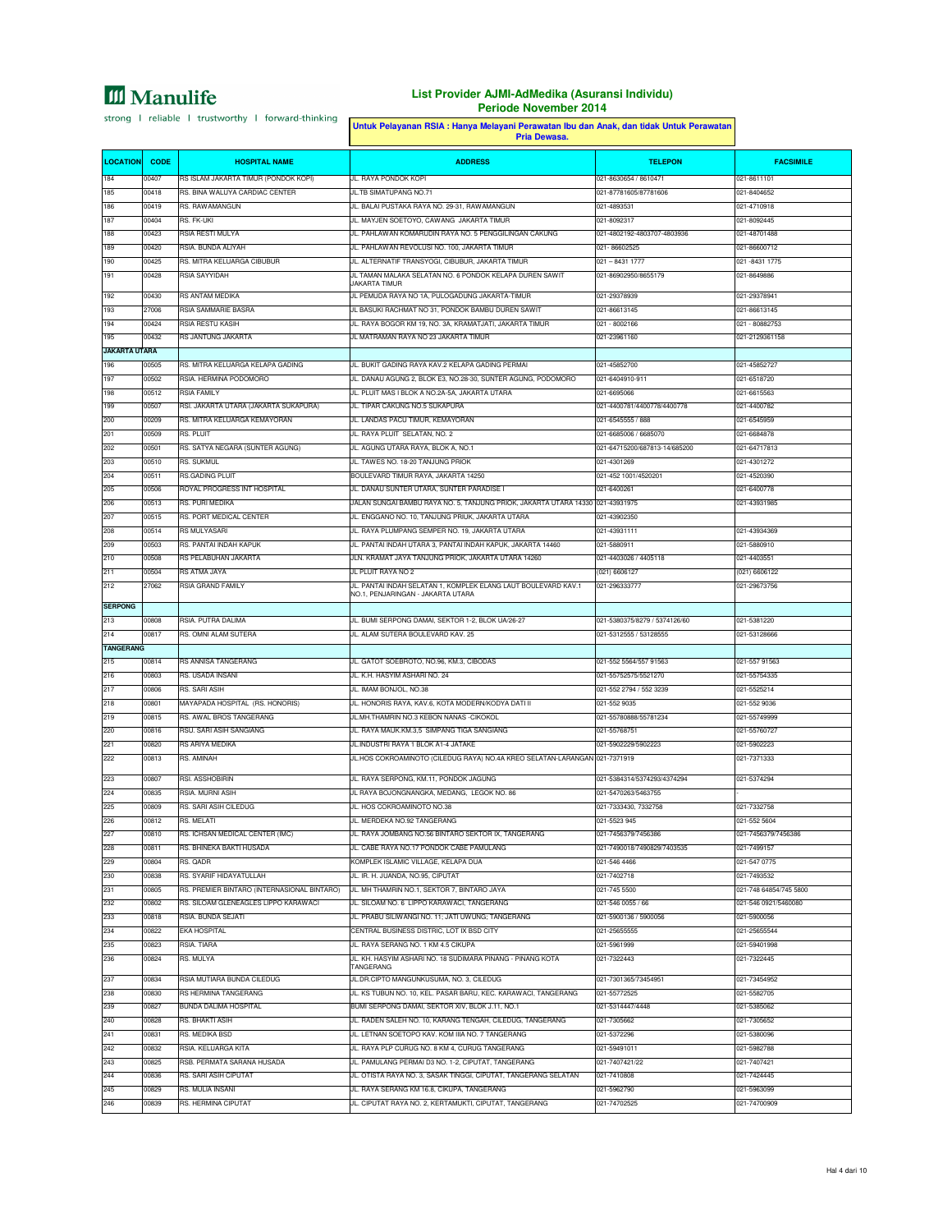#### **List Provider AJMI-AdMedika (Asuransi Individu) Periode November 2014**

strong I reliable I trustworthy I forward-thinking

#### **CODE TELEPON Untuk Pelayanan RSIA : Hanya Melayani Perawatan Ibu dan Anak, dan tidak Untuk Perawatan Pria Dewasa. LOCATION HOSPITAL NAME ADDRESS FACSIMILE** 184 00407 RS ISLAM JAKARTA TIMUR (PONDOK KOPI) JL. RAYA PONDOK KOPI 021-8630654 / 8610471 021-8611101 185 00418 RS. BINA WALUYA CARDIAC CENTER JL.TB SIMATUPANG NO.71 021-87781605/87781606 021-87781606 021-8404652 186 00419 RS. RAWAMANGUN JL. BALAI PUSTAKA RAYA NO. 29-31, RAWAMANGUN 021-4893531 021-4710918 187 00404 RS. FK-UKI JOJ ANGLES ANG DITENSION NA KARTA TIMUR DITENSION NA KARTA TIMUR DITENSION OP ASSASSED DI 188 00423 RSIA RESTI MULYA JL. PAHLAWAN KOMARUDIN RAYA NO. 5 PENGGILINGAN CAKUNG 021-4802192-4803707-4803936 021-48701488 189 00420 RSIA. BUNDA ALIYAH JL. PAHLAWAN REVOLUSI NO. 100, JAKARTA TIMUR 021- 86602525 021-86600712 190 00425 RS. MITRA KELUARGA CIBUBUR JL. ALTERNATIF TRANSYOGI, CIBUBUR, JAKARTA TIMUR 021 – 8431 1777 021 -8431 1775 191 00428 RSIA SAYYIDAH JL TAMAN MALAKA SELATAN NO. 6 PONDOK KELAPA DUREN SAWIT JAKARTA TIMUR 021-86902950/8655179 021-8649886 192 00430 RS ANTAM MEDIKA JL PEMUDA RAYA NO 1A, PULOGADUNG JAKARTA-TIMUR 021-29378939 021-29378941 193 27006 RSIA SAMMARIE BASRA JL BASUKI RACHMAT NO 31, PONDOK BAMBU DUREN SAWIT 021-86613145 021-86613145 194 00424 RSIA RESTU KASIH JL. RAYA BOGOR KM 19, NO. 3A, KRAMATJATI, JAKARTA TIMUR 021 - 8002166 021 - 80882753 195 00432 RS JANTUNG JAKARTA JL MATRAMAN RAYA NO 23 JAKARTA TIMUR 021-23961160 021-2129361158 **JAKARTA UTARA** 196 00505 RS. MITRA KELUARGA KELAPA GADING JL. BUKIT GADING RAYA KAV.2 KELAPA GADING PERMAI 021-45852700 021-45852727 197 00502 RSIA. HERMINA PODOMORO JL. DANAU AGUNG 2, BLOK E3, NO.28-30, SUNTER AGUNG, PODOMORO 021-6404910-911 021-6518720 198 00512 RSIA FAMILY JL. PLUIT MAS I BLOK A NO.2A-5A, JAKARTA UTARA 021-6695066 021-6615563 199 00507 RSI. JAKARTA UTARA (JAKARTA SUKAPURA) JL. TIPAR CAKUNG NO.5 SUKA 200 00209 RS. MITRA KELUARGA KEMAYORAN JL. LANDAS PACU TIMUR, KEMAYORAN 021-6545555 / 888 021-6545555 / 888 021-6545959 201 00509 RS. PLUIT JL. RAYA PLUIT SELATAN, NO. 2 021-6685006 / 6685070 021-6684878 202 00501 RS. SATYA NEGARA (SUNTER AGUNG) JL. AGUNG UTARA RAYA, BLOK A, NO.1 021-64715200/687813-14/685200 021-64717813 203 00510 RS. SUKMUL JL. TAWES NO. 18-20 TANJUNG PRIOK 021-4301269 021-4301272 2011 RS.GADING PLUIT **BOULEVARD TIMUR RAYA, JAKARTA 14250** 021-452 1001/4520201 021-4520390 205 00506 ROYAL PROGRESS INT HOSPITAL JL. DANAU SUNTER UTARA, SUNTER PARADISE I 021-6400261 021-6400778 206 00513 RS. PURI MEDIKA JALAN SUNGAI BAMBU RAYA NO. 5, TANJUNG PRIOK, JAKARTA UTARA 14330 021-43931975 021-43931985 207 00515 RS. PORT MEDICAL CENTER JL. ENGGANO NO. 10, TANJUNG PRIUK, JAKARTA UTARA 021-43902350 208 00514 RS MULYASARI JL. RAYA PLUMPANG SEMPER NO. 19, JAKARTA UTARA 021-43931111 021-43934369 209 00503 RS. PANTAI INDAH KAPUK JL. PANTAI INDAH UTARA 3, PANTAI INDAH KAPUK, JAKARTA 14460 021-5880911 021-5880910 210 00508 RS PELABUHAN JAKARTA JAWA JAWA TANJUNG PRIOK, JAKARTA UTARA 1426 211 00504 RS ATMA JAYA JL PLUIT RAYA NO 2 (021) 6606127 (021) 6606122 212 27062 RSIA GRAND FAMILY JUL. PANTAI INDAH SELATAN 1, KOMPLEK ELANG LAUT BOULEVARD KAV. 1 NO.1, PENJARINGAN - JAKARTA UTARA 021-296333777 021-29673756 **SERPONG** 213 00808 RSIA. PUTRA DALIMA JL. BUMI SERPONG DAMAI, SEKTOR 1-2, BLOK UA/26-27 021-5380375/8279 / 5374126/60 021-5381220 214 00817 RS. OMNI ALAM SUTERA JL. ALAM SUTERA BOULEVARD KAV. 25 021-5312555 / 53128555 021-53128666 **TANGE** 215 00814 RS ANNISA TANGERANG JL. GATOT SOEBROTO, NO.96, KM.3, CIBODAS 021-552 5564/557 91563 021-557 91563 216 00803 RS. USADA INSANI JL. K.H. HASYIM ASHARI NO. 24 021-55752575/5521270 021-55752575/5521270 021-55754335 217 00806 RS. SARI ASIH JL. IMAM BONJOL, NO.38 021-552 2794 / 552 3239 021-5525214 218 00801 MAYAPADA HOSPITAL (RS. HONORIS) JL. HONORIS RAYA, KAV.6, KOTA MODERN/KODYA DATI II 021-552 9035 021-552 9036 219 00815 RS. AWAL BROS TANGERANG JL.MH.THAMRIN NO.3 KEBON NANAS -CIKOKOL 021-55780888/55781234 021-557409999 220 SARI ASIH SANGIANG **JL. RAYA MAUK.KM.3,5 SIMPANG TIGA** 22 121 221 221 222 2022 2022 2023 2024 2022 2023 2024 2022 2023 2024 2022 2023 2024 2025 2027 2022 2023 2024 20<br>RS ARIYA MEDIKA JULI 2022 2022 2022 2023 2024 2022 2023 2024 2022 2023 2024 2022 2023 2024 2022 2024 2022 2023 222 00813 RS. AMINAH JUL.HOS COKROAMINOTO (CILEDUG RAYA) NO.4A KREO SELATAN-LARANGAN 021-7371919 021-737133333 223 00807 RSI. ASSHOBIRIN JL. RAYA SERPONG, KM.11, PONDOK JAGUNG 021-5384314/5374293/4374294 021-5374294 224 00835 RSIA. MURNI ASIH JL RAYA BOJONGNANGKA, MEDANG, LEGOK NO. 86 021-5470263/5463755 - 225 00809 RS. SARI ASIH CILEDUG JL. HOS COKROAMINOTO NO.38 021-7333430, 7332758 021-7332758 226 00812 RS. MELATI JL. MERDEKA NO.92 TANGERANG 021-5523 945 021-552 5604 221-7456379/7456386 RS. ICHSAN MEDICAL CENTER (IMC) JL. RAYA JOMBANG NO.56 BINTARO SEKTOR IX, TANGERANG 021-7456379/7456386 021-7456379/7456379/7456379/7456379/7456379/7456379/7456379/7456379/7456379/7456379/7456379/745637 228 00811 RS. BHINEKA BAKTI HUSADA JL. CABE RAYA NO.17 PONDOK CABE PAMULANG 021-7490018/7490829/7403535 021-7499157 229 021-547 021-547 021-547 021-547 021-648 AMPLEK ISLAMIC VILLAGE, KELAPA DUA 021-546 2021-546 4466 021-546 4466 021-547 0775 230 00838 RS. SYARIF HIDAYATULLAH JL. IR. H. JUANDA, NO.95, CIPUTAT 021-7402718 021-7402718 021-7403532 231 00805 RS. PREMIER BINTARO (INTERNASIONAL BINTARO) JL. MH THAMRIN NO.1, SEKTOR 7, BINTARO JAYA 021-745 5500 021-745 5500 021-748 64854/745 5800 232 00802 RS. SILOAM GLENEAGLES LIPPO KARAWACI JL. SILOAM NO. 6 LIPPO KARAWACI, TANGERANG 021-546 0055 / 66 021-546 0921/5460080 233 00818 RSIA. BUNDA SEJATI JL. PRABU SILIWANGI NO. 11; JATI UWUNG; TANGERANG 021-5900136 / 5900056 021-5900056 234 00822 EKA HOSPITAL CENTRAL BUSINESS DISTRIC LOT IX BSD CITY 021-256555555 021-25655555 021-25655544 and a series of the RAYA SERANG NO. 1 KM 4.5 CIKUPA 023 RSIA. TIARA 021-5961999 021-5961999 021-5961999 021-59 236 00824 RS. MULYA JL. KH. HASYIM ASHARI NO. 18 SUDIMARA PINANG - PINANG KOTA TANGERANG 021-7322443 021-7322445 237 00834 RSIA MUTIARA BUNDA CILEDUG JL.DR.CIPTO MANGUNKUSUMA, NO. 3, CILEDUG 021-7301365/73454951 021-73454952 238 00830 RS HERMINA TANGERANG JL. KS TUBUN NO. 10, KEL. PASAR BARU, KEC. KARAWACI, TANGERANG 021-55772525 021-5582705 239 229 021 029 029 029 27 029 27 029 27 029 27 029 27 029 27 021-5314447/4448 021-5314447/4448 021-531447/4448 021-531447/4448 021-531447/4448 021-531447/4448 021-5315062 240 00828 RS. BHAKTI ASIH JL. RADEN SALEH NO. 10, KARANG TENGAH, CILEDUG, TANGERANG 021-7305662 021-7305652 231 RS. MEDIKA BSD 2011-538009 JL. LETNAN SOETOPO KAV. KOM IIIA NO. 7 TANGERANG 2021-5372296 021-5372296 021-538009 242 00832 RSIA. KELUARGA KITA JL. RAYA PLP CURUG NO. 8 KM 4, CURUG TANGERANG 021-59491011 021-5982788 243 00825 RSB. PERMATA SARANA HUSADA JL. PAMULANG PERMAI D3 NO. 1-2, CIPUTAT, TANGERANG 021-7407421/22 021-7407421 244 00836 RS. SARI ASIH CIPUTAT JL. OTISTA RAYA NO. 3, SASAK TINGGI, CIPUTAT, TANGERANG SELATAN 021-7410808 021-7424445 245 00829 RS. MULIA INSANI JL. RAYA SERANG KM 16.8, CIKUPA, TANGERANG 021-5962790 021-5963099 239 RS. HERMINA CIPUTAT JUNISIAN DENGAN DENGAN KERTAMUKTI CIPUTAT TANGERANG 201-74702525 021-74702525 021-74702525 021-74702525 021-74702525 021-74702525 021-74702525 021-74700909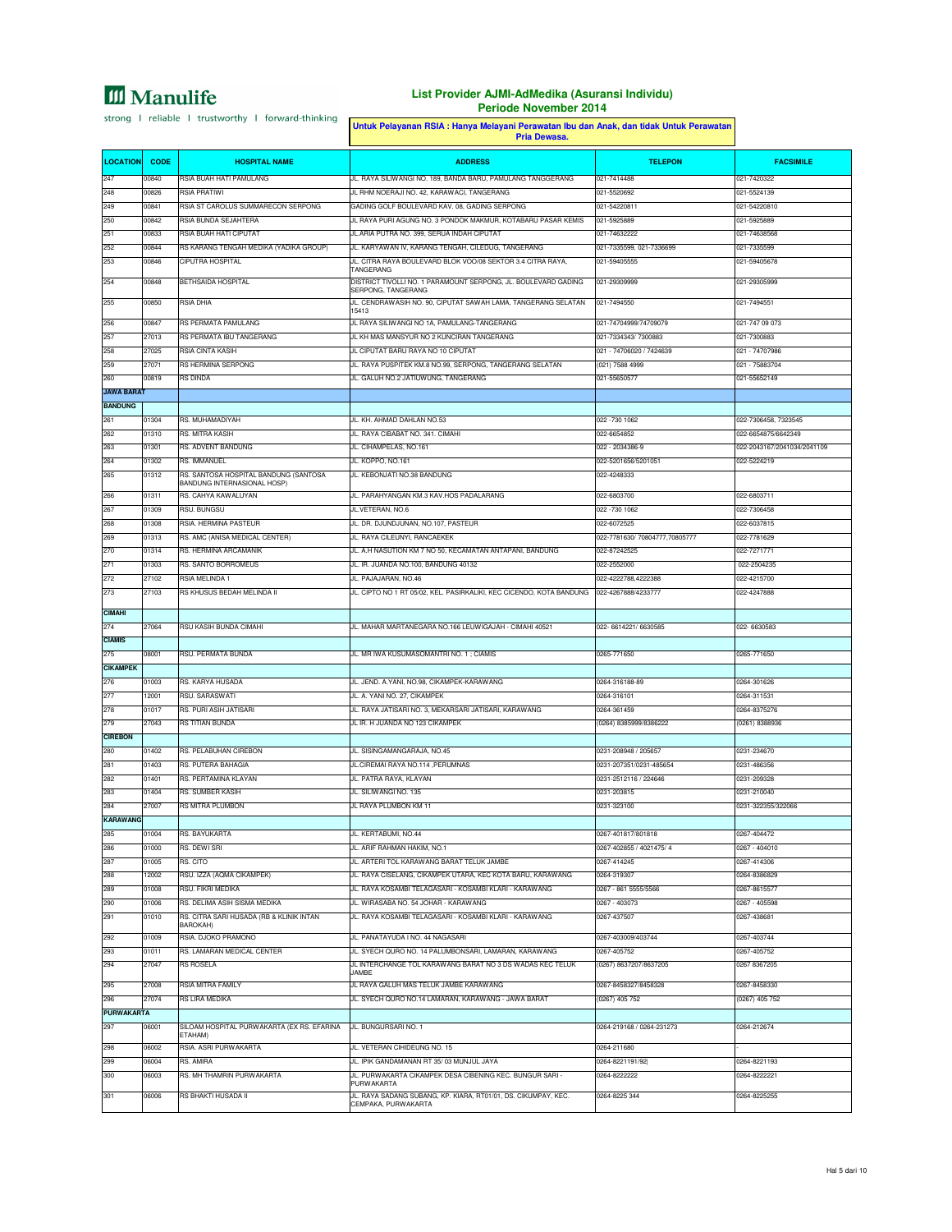|                   | Untuk Pelayanan RSIA : Hanya Melayani Perawatan Ibu dan Anak, dan tidak Untuk Perawatan |                                                                      |                                                                                                            |                                       |                               |
|-------------------|-----------------------------------------------------------------------------------------|----------------------------------------------------------------------|------------------------------------------------------------------------------------------------------------|---------------------------------------|-------------------------------|
| <b>LOCATION</b>   | <b>CODE</b>                                                                             | <b>HOSPITAL NAME</b>                                                 | <b>ADDRESS</b>                                                                                             | <b>TELEPON</b>                        | <b>FACSIMILE</b>              |
| 247               | 00840                                                                                   | RSIA BUAH HATI PAMULANG                                              | JL. RAYA SILIWANGI NO. 189, BANDA BARU, PAMULANG TANGGERANG                                                | 021-7414488                           | 021-7420322                   |
| 248               | 00826                                                                                   | <b>RSIA PRATIVI</b>                                                  | JL RHM NOERAJI NO. 42, KARAWACI, TANGERANG                                                                 | 021-5520692                           | 021-5524139                   |
| 249               | 00841                                                                                   | RSIA ST CAROLUS SUMMARECON SERPONG                                   | GADING GOLF BOULEVARD KAV. 08, GADING SERPONG                                                              | 021-54220811                          | 021-54220810                  |
| 250               | 00842                                                                                   | RSIA BUNDA SEJAHTERA                                                 | JL RAYA PURI AGUNG NO. 3 PONDOK MAKMUR, KOTABARU PASAR KEMIS                                               | 021-5925889                           | 021-5925889                   |
| 251               | 00833                                                                                   | RSIA BUAH HATI CIPUTAT                                               | JL.ARIA PUTRA NO. 399, SERUA INDAH CIPUTAT                                                                 | 021-74632222                          | 021-74638568                  |
| 252               | 00844                                                                                   | RS KARANG TENGAH MEDIKA (YADIKA GROUP)                               | JL. KARYAWAN IV, KARANG TENGAH, CILEDUG, TANGERANG                                                         | 021-7335599, 021-7336699              | 021-7335599                   |
| 253               | 00846                                                                                   | CIPUTRA HOSPITAL                                                     | JL. CITRA RAYA BOULEVARD BLOK VOO/08 SEKTOR 3.4 CITRA RAYA,<br>TANGFRANG                                   | 021-59405555                          | 021-59405678                  |
| 254               | 00848                                                                                   | <b>BETHSAIDA HOSPITAL</b>                                            | DISTRICT TIVOLLI NO. 1 PARAMOUNT SERPONG, JL. BOULEVARD GADING<br>SERPONG, TANGERANG                       | 021-29309999                          | 021-29305999                  |
| 255               | 00850                                                                                   | <b>RSIA DHIA</b>                                                     | JL. CENDRAWASIH NO. 90, CIPUTAT SAWAH LAMA, TANGERANG SELATAN<br>15413                                     | 021-7494550                           | 021-7494551                   |
| 256               | 00847                                                                                   | RS PERMATA PAMULANG                                                  | JL RAYA SILIWANGI NO 1A, PAMULANG-TANGERANG                                                                | 021-74704999/74709079                 | 021-747 09 073                |
| 257               | 27013                                                                                   | RS PERMATA IBU TANGERANG                                             | JL KH MAS MANSYUR NO 2 KUNCIRAN TANGERANG                                                                  | 021-7334343/ 7300883                  | 021-7300883                   |
| 258               | 27025                                                                                   | RSIA CINTA KASIH                                                     | JL CIPUTAT BARU RAYA NO 10 CIPUTAT                                                                         | 021 - 74706020 / 7424639              | 021 - 74707986                |
| 259               | 27071                                                                                   | RS HERMINA SERPONG                                                   | JL. RAYA PUSPITEK KM.8 NO.99, SERPONG, TANGERANG SELATAN                                                   | (021) 7588 4999                       | 021 - 75883704                |
| 260               | 00819                                                                                   | <b>RS DINDA</b>                                                      | JL. GALUH NO.2 JATIUWUNG, TANGERANG                                                                        | 021-55650577                          | 021-55652149                  |
| <b>JAWA BARAT</b> |                                                                                         |                                                                      |                                                                                                            |                                       |                               |
| <b>BANDUNG</b>    |                                                                                         |                                                                      |                                                                                                            |                                       |                               |
| 261               | 01304                                                                                   | RS. MUHAMADIYAH                                                      | JL. KH. AHMAD DAHLAN NO.53                                                                                 | 022 - 730 1062                        | 022-7306458, 7323545          |
| 262               | 01310                                                                                   | RS. MITRA KASIH                                                      | JL. RAYA CIBABAT NO. 341. CIMAHI                                                                           | 022-6654852                           | 022-6654875/6642349           |
| 263               | 01301                                                                                   | RS. ADVENT BANDUNG<br>RS. IMMANUEL                                   | JL. CIHAMPELAS, NO.161                                                                                     | 022 - 2034386-9                       | 022-2043167/2041034/2041109   |
| 264               | 01302                                                                                   |                                                                      | JL. KOPPO, NO.161                                                                                          | 022-5201656/5201051                   | 022-5224219                   |
| 265               | 01312                                                                                   | RS. SANTOSA HOSPITAL BANDUNG (SANTOSA<br>BANDUNG INTERNASIONAL HOSP) | JL. KEBONJATI NO.38 BANDUNG                                                                                | 022-4248333                           |                               |
| 266               | 01311                                                                                   | RS. CAHYA KAWALUYAN                                                  | JL. PARAHYANGAN KM.3 KAV.HOS PADALARANG                                                                    | 022-6803700                           | 022-6803711                   |
| 267               | 01309                                                                                   | RSU. BUNGSU                                                          | JL.VETERAN, NO.6                                                                                           | 022 -730 1062                         | 022-7306458                   |
| 268               | 01308                                                                                   | RSIA. HERMINA PASTEUR                                                | JL. DR. DJUNDJUNAN, NO.107, PASTEUR                                                                        | 022-6072525                           | 022-6037815                   |
| 269               | 01313                                                                                   | RS. AMC (ANISA MEDICAL CENTER)                                       | JL. RAYA CILEUNYI, RANCAEKEK                                                                               | 022-7781630/70804777,70805777         | 022-7781629                   |
| 270               | 01314                                                                                   | RS. HERMINA ARCAMANIK                                                | JL. A.H NASUTION KM 7 NO 50, KECAMATAN ANTAPANI, BANDUNG                                                   | 022-87242525                          | 022-7271771                   |
| 271               | 01303                                                                                   | RS. SANTO BORROMEUS                                                  | JL. IR. JUANDA NO.100, BANDUNG 40132                                                                       | 022-2552000                           | 022-2504235                   |
| 272               | 27102                                                                                   | <b>RSIA MELINDA 1</b>                                                | JL. PAJAJARAN, NO.46                                                                                       | 022-4222788,4222388                   | 022-4215700                   |
| 273               | 27103                                                                                   | RS KHUSUS BEDAH MELINDA II                                           | JL. CIPTO NO 1 RT 05/02, KEL. PASIRKALIKI, KEC CICENDO, KOTA BANDUNG                                       | 022-4267888/4233777                   | 022-4247888                   |
| <b>CIMAHI</b>     |                                                                                         |                                                                      |                                                                                                            |                                       |                               |
| 274               | 27064                                                                                   | RSU KASIH BUNDA CIMAHI                                               | JL. MAHAR MARTANEGARA NO.166 LEUWIGAJAH - CIMAHI 40521                                                     | 022- 6614221/ 6630585                 | 022-6630583                   |
| <b>CIAMIS</b>     |                                                                                         |                                                                      |                                                                                                            |                                       |                               |
| 275               | 08001                                                                                   | RSU. PERMATA BUNDA                                                   | JL. MR IWA KUSUMASOMANTRI NO. 1; CIAMIS                                                                    | 0265-771650                           | 0265-771650                   |
| <b>CIKAMPEK</b>   |                                                                                         |                                                                      |                                                                                                            |                                       |                               |
| 276               | 01003                                                                                   | RS. KARYA HUSADA                                                     | JL. JEND. A.YANI, NO.98, CIKAMPEK-KARAWANG                                                                 | 0264-316188-89                        | 0264-301626                   |
| 277               | 12001                                                                                   | RSU. SARASWATI                                                       | JL. A. YANI NO. 27, CIKAMPEK                                                                               | 0264-316101                           | 0264-311531                   |
| 278               | 01017                                                                                   | RS. PURI ASIH JATISARI                                               | JL. RAYA JATISARI NO. 3, MEKARSARI JATISARI, KARAWANG                                                      | 0264-361459                           | 0264-8375276                  |
| 279               | 27043                                                                                   | <b>RS TITIAN BUNDA</b>                                               | JL IR. H JUANDA NO 123 CIKAMPEK                                                                            | (0264) 8385999/8386222                | (0261) 8388936                |
| <b>CIREBON</b>    |                                                                                         |                                                                      |                                                                                                            |                                       |                               |
| 280               | 01402                                                                                   | RS. PELABUHAN CIREBON                                                | JL. SISINGAMANGARAJA, NO.45                                                                                | 0231-208948 / 205657                  | 0231-234670                   |
| 281               | 01403                                                                                   | RS. PUTERA BAHAGIA                                                   | JL.CIREMAI RAYA NO.114 , PERUMNAS                                                                          | 0231-207351/0231-485654               | 0231-486356                   |
| 282               | 01401                                                                                   | RS. PERTAMINA KLAYAN                                                 | JL. PATRA RAYA, KLAYAN                                                                                     | 0231-2512116 / 224646                 | 0231-209328                   |
| 283               | 01404                                                                                   | RS. SUMBER KASIH                                                     | JL. SILIWANGI NO. 135                                                                                      | 0231-203815                           | 0231-210040                   |
| 284               | 27007                                                                                   | <b>RS MITRA PLUMBON</b>                                              | JL RAYA PLUMBON KM 11                                                                                      | 0231-323100                           | 0231-322355/322066            |
| <b>KARAWANG</b>   |                                                                                         |                                                                      |                                                                                                            |                                       |                               |
| 285               | 01004                                                                                   | RS. BAYUKARTA                                                        | JL. KERTABUMI, NO.44                                                                                       | 0267-401817/801818                    | 0267-404472                   |
| 286               | 01000                                                                                   | RS. DEWI SRI                                                         | JL. ARIF RAHMAN HAKIM, NO.1                                                                                | 0267-402855 / 4021475/4               | 0267 - 404010                 |
| 287               | 01005                                                                                   | RS. CITO                                                             | JL. ARTERI TOL KARAWANG BARAT TELUK JAMBE<br>JL. RAYA CISELANG, CIKAMPEK UTARA, KEC KOTA BARU, KARAWANG    | 0267-414245                           | 0267-414306                   |
| 288<br>289        | 12002                                                                                   | RSU. IZZA (AQMA CIKAMPEK)<br>RSU. FIKRI MEDIKA                       | JL. RAYA KOSAMBI TELAGASARI - KOSAMBI KLARI - KARAWANG                                                     | 0264-319307                           | 0264-8386829                  |
| 290               | 01008<br>01006                                                                          | RS. DELIMA ASIH SISMA MEDIKA                                         | JL, WIRASABA NO. 54 JOHAR - KARAWANG                                                                       | 0267 - 861 5555/5566<br>0267 - 403073 | 0267-8615577<br>0267 - 405598 |
| 291               | 01010                                                                                   | RS. CITRA SARI HUSADA (RB & KLINIK INTAN                             | JL. RAYA KOSAMBI TELAGASARI - KOSAMBI KLARI - KARAWANG                                                     | 0267-437507                           | 0267-438681                   |
|                   |                                                                                         | BAROKAH)                                                             |                                                                                                            |                                       |                               |
| 292               | 01009                                                                                   | RSIA. DJOKO PRAMONO                                                  | JL. PANATAYUDA I NO. 44 NAGASARI                                                                           | 0267-403009/403744                    | 0267-403744                   |
| 293               | 01011                                                                                   | RS. LAMARAN MEDICAL CENTER                                           | JL, SYECH QURO NO, 14 PALUMBONSARI, LAMARAN, KARAWANG                                                      | 0267-405752                           | 0267-405752                   |
| 294               | 27047                                                                                   | <b>RS ROSELA</b>                                                     | JL INTERCHANGE TOL KARAWANG BARAT NO 3 DS WADAS KEC TELUK<br>JAMBE                                         | 0267) 8637207/8637205                 | 0267 8367205                  |
| 295               | 27008                                                                                   | RSIA MITRA FAMILY                                                    | JL RAYA GALUH MAS TELUK JAMBE KARAWANG                                                                     | 0267-8458327/8458328                  | 0267-8458330                  |
| 296               | 27074                                                                                   | RS LIRA MEDIKA                                                       | JL. SYECH QURO NO.14 LAMARAN, KARAWANG - JAWA BARAT                                                        | (0267) 405 752                        | (0267) 405 752                |
| <b>PURWAKARTA</b> |                                                                                         |                                                                      |                                                                                                            |                                       |                               |
| 297               | 06001                                                                                   | SILOAM HOSPITAL PURWAKARTA (EX RS. EFARINA<br>ETAHAM)                | JL. BUNGURSARI NO. 1                                                                                       | 0264-219168 / 0264-231273             | 0264-212674                   |
| 298               | 06002                                                                                   | RSIA. ASRI PURWAKARTA                                                | JL. VETERAN CIHIDEUNG NO. 15                                                                               | 0264-211680                           |                               |
| 299               | 06004                                                                                   | RS. AMIRA                                                            | JL. IPIK GANDAMANAN RT 35/ 03 MUNJUL JAYA                                                                  | 0264-8221191/92                       | 0264-8221193                  |
| 300               | 06003                                                                                   | RS. MH THAMRIN PURWAKARTA                                            | JL. PURWAKARTA CIKAMPEK DESA CIBENING KEC. BUNGUR SARI -                                                   | 0264-8222222                          | 0264-8222221                  |
| 301               | 06006                                                                                   | RS BHAKTI HUSADA II                                                  | <b>PURWAKARTA</b><br>JL. RAYA SADANG SUBANG, KP. KIARA, RT01/01, DS. CIKUMPAY, KEC.<br>CEMPAKA, PURWAKARTA | 0264-8225 344                         | 0264-8225255                  |
|                   |                                                                                         |                                                                      |                                                                                                            |                                       |                               |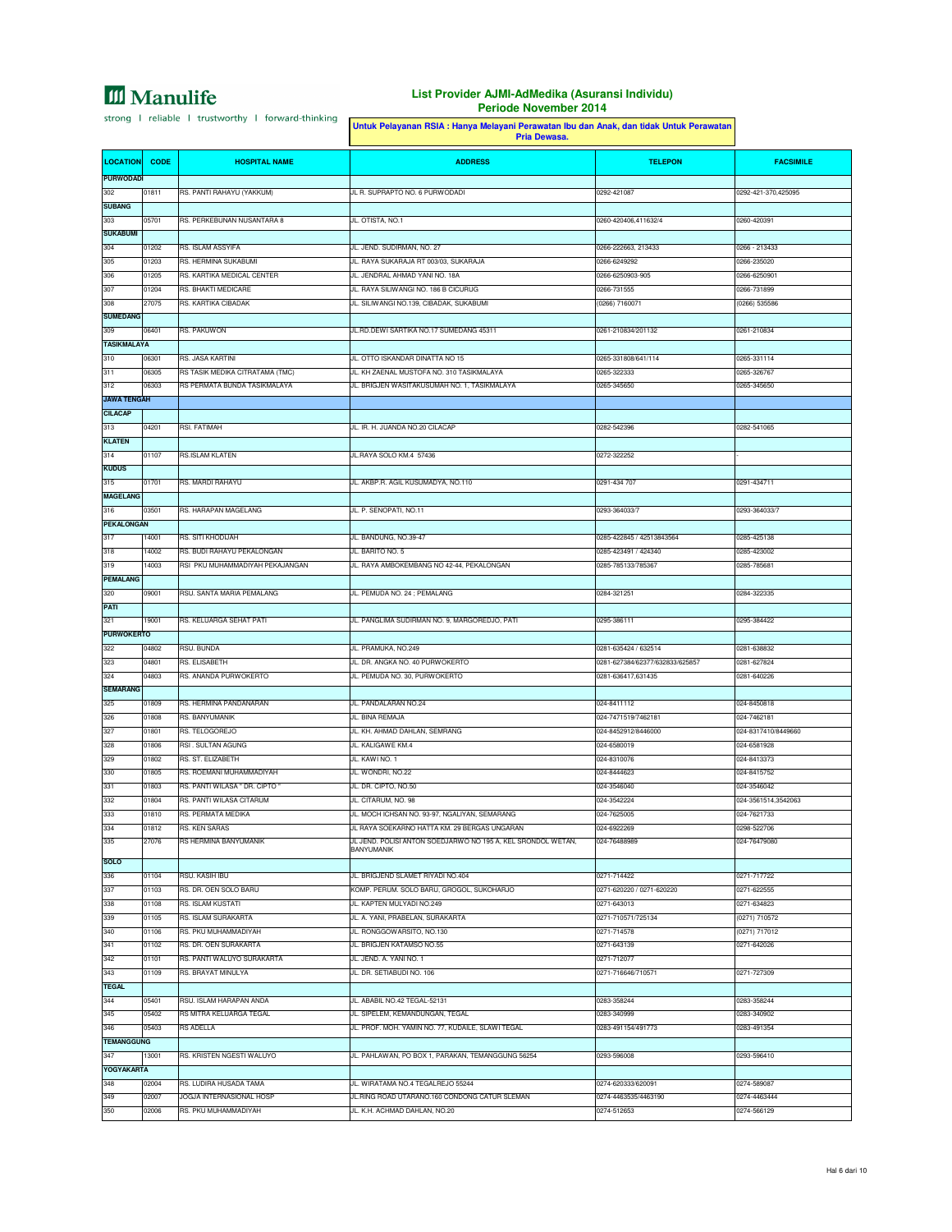### **List Provider AJMI-AdMedika (Asuransi Individu) Periode November 2014**

h

|                         |                | Untuk Pelayanan RSIA : Hanya Melayani Perawatan Ibu dan Anak, dan tidak Untuk Perawatan<br>Pria Dewasa. |                                                                                 |                                                       |                                    |
|-------------------------|----------------|---------------------------------------------------------------------------------------------------------|---------------------------------------------------------------------------------|-------------------------------------------------------|------------------------------------|
| <b>LOCATION</b>         | <b>CODE</b>    | <b>HOSPITAL NAME</b>                                                                                    | <b>ADDRESS</b>                                                                  | <b>TELEPON</b>                                        | <b>FACSIMILE</b>                   |
| <b>PURWODADI</b><br>302 | 01811          | RS. PANTI RAHAYU (YAKKUM)                                                                               | JL R. SUPRAPTO NO. 6 PURWODADI                                                  | 0292-421087                                           | 0292-421-370,425095                |
| <b>SUBANG</b>           |                |                                                                                                         |                                                                                 |                                                       |                                    |
| 303                     | 05701          | RS. PERKEBUNAN NUSANTARA 8                                                                              | JL. OTISTA, NO.1                                                                | 0260-420406,411632/4                                  | 0260-420391                        |
| <b>SUKABUMI</b>         |                |                                                                                                         |                                                                                 |                                                       |                                    |
| 304                     | 01202          | RS. ISLAM ASSYIFA                                                                                       | JL. JEND. SUDIRMAN, NO. 27                                                      | 0266-222663, 213433                                   | 0266 - 213433                      |
| 305                     | 01203          | RS. HERMINA SUKABUMI                                                                                    | JL. RAYA SUKARAJA RT 003/03, SUKARAJA                                           | 0266-6249292                                          | 0266-235020                        |
| 306                     | 01205          | RS. KARTIKA MEDICAL CENTER                                                                              | JL. JENDRAL AHMAD YANI NO. 18A                                                  | 0266-6250903-905                                      | 0266-6250901                       |
| 307<br>308              | 01204<br>27075 | RS. BHAKTI MEDICARE<br>RS. KARTIKA CIBADAK                                                              | JL. RAYA SILIWANGI NO. 186 B CICURUG<br>JL. SILIWANGI NO.139, CIBADAK, SUKABUMI | 0266-731555<br>(0266) 7160071                         | 0266-731899<br>(0266) 535586       |
| <b>SUMEDANG</b>         |                |                                                                                                         |                                                                                 |                                                       |                                    |
| 309                     | 06401          | RS. PAKUWON                                                                                             | JL.RD.DEWI SARTIKA NO.17 SUMEDANG 45311                                         | 0261-210834/201132                                    | 0261-210834                        |
| <b>TASIKMALAYA</b>      |                |                                                                                                         |                                                                                 |                                                       |                                    |
| 310                     | 06301          | RS. JASA KARTINI                                                                                        | JL. OTTO ISKANDAR DINATTA NO 15                                                 | 0265-331808/641/114                                   | 0265-331114                        |
| 311                     | 06305          | RS TASIK MEDIKA CITRATAMA (TMC)                                                                         | JL. KH ZAENAL MUSTOFA NO. 310 TASIKMALAYA                                       | 0265-322333                                           | 0265-326767                        |
| 312                     | 06303          | RS PERMATA BUNDA TASIKMALAYA                                                                            | JL. BRIGJEN WASITAKUSUMAH NO. 1, TASIKMALAYA                                    | 0265-345650                                           | 0265-345650                        |
| <b>JAWA TENGAH</b>      |                |                                                                                                         |                                                                                 |                                                       |                                    |
| <b>CILACAP</b>          |                | RSI. FATIMAH                                                                                            | JL. IR. H. JUANDA NO.20 CILACAP                                                 |                                                       |                                    |
| 313<br><b>KLATEN</b>    | 04201          |                                                                                                         |                                                                                 | 0282-542396                                           | 0282-541065                        |
| 314                     | 01107          | <b>RS.ISLAM KLATEN</b>                                                                                  | JL.RAYA SOLO KM.4 57436                                                         | 0272-322252                                           |                                    |
| <b>KUDUS</b>            |                |                                                                                                         |                                                                                 |                                                       |                                    |
| 315                     | 01701          | RS. MARDI RAHAYU                                                                                        | JL. AKBP.R. AGIL KUSUMADYA, NO.110                                              | 0291-434 707                                          | 0291-434711                        |
| <b>MAGELANG</b>         |                |                                                                                                         |                                                                                 |                                                       |                                    |
| 316                     | 03501          | RS. HARAPAN MAGELANG                                                                                    | JL. P. SENOPATI, NO.11                                                          | 0293-364033/7                                         | 0293-364033/7                      |
| <b>PEKALONGAN</b>       |                |                                                                                                         |                                                                                 |                                                       |                                    |
| 317                     | 14001          | RS. SITI KHODIJAH                                                                                       | JL. BANDUNG, NO.39-47                                                           | 0285-422845 / 42513843564                             | 0285-425138                        |
| 318<br>319              | 14002<br>14003 | RS. BUDI RAHAYU PEKALONGAN<br>RSI PKU MUHAMMADIYAH PEKAJANGAN                                           | JL. BARITO NO. 5<br>JL. RAYA AMBOKEMBANG NO 42-44, PEKALONGAN                   | 0285-423491 / 424340<br>0285-785133/785367            | 0285-423002<br>0285-785681         |
| <b>PEMALANG</b>         |                |                                                                                                         |                                                                                 |                                                       |                                    |
| 320                     | 09001          | RSU. SANTA MARIA PEMALANG                                                                               | JL. PEMUDA NO. 24 ; PEMALANG                                                    | 0284-321251                                           | 0284-322335                        |
| PATI                    |                |                                                                                                         |                                                                                 |                                                       |                                    |
| 321                     | 19001          | RS. KELUARGA SEHAT PATI                                                                                 | JL. PANGLIMA SUDIRMAN NO. 9, MARGOREDJO, PATI                                   | 0295-386111                                           | 0295-384422                        |
| <b>PURWOKERTO</b>       |                |                                                                                                         |                                                                                 |                                                       |                                    |
| 322                     | 04802          | RSU. BUNDA                                                                                              | JL. PRAMUKA, NO.249                                                             | 0281-635424 / 632514                                  | 0281-638832                        |
| 323<br>324              | 04801<br>04803 | RS. ELISABETH<br>RS. ANANDA PURWOKERTO                                                                  | JL. DR. ANGKA NO. 40 PURWOKERTO<br>JL. PEMUDA NO. 30, PURWOKERTO                | 0281-627384/62377/632833/625857<br>0281-636417,631435 | 0281-627824<br>0281-640226         |
| <b>SEMARANG</b>         |                |                                                                                                         |                                                                                 |                                                       |                                    |
| 325                     | 01809          | RS. HERMINA PANDANARAN                                                                                  | JL. PANDALARAN NO.24                                                            | 024-8411112                                           | 024-8450818                        |
| 326                     | 01808          | RS. BANYUMANIK                                                                                          | JL. BINA REMAJA                                                                 | 024-7471519/7462181                                   | 024-7462181                        |
| 327                     | 01801          | RS. TELOGOREJO                                                                                          | JL. KH. AHMAD DAHLAN, SEMRANG                                                   | 024-8452912/8446000                                   | 024-8317410/8449660                |
| 328                     | 01806          | RSI. SULTAN AGUNG                                                                                       | JL. KALIGAWE KM.4                                                               | 024-6580019                                           | 024-6581928                        |
| 329                     | 01802          | RS. ST. ELIZABETH                                                                                       | JL. KAWI NO. 1                                                                  | 024-8310076                                           | 024-8413373                        |
| 330                     | 01805          | RS. ROEMANI MUHAMMADIYAH                                                                                | JL. WONDRI, NO.22                                                               | 024-8444623                                           | 024-8415752                        |
| 331<br>332              | 01803          | RS. PANTI WILASA " DR. CIPTO '<br>RS. PANTI WILASA CITARUM                                              | JL. DR. CIPTO, NO.50<br>JL. CITARUM, NO. 98                                     | 024-3546040<br>024-3542224                            | 024-3546042                        |
| 333                     | 01804<br>01810 | RS. PERMATA MEDIKA                                                                                      | JL. MOCH ICHSAN NO. 93-97, NGALIYAN, SEMARANG                                   | 024-7625005                                           | 024-3561514,3542063<br>024-7621733 |
| 334                     | 01812          | RS. KEN SARAS                                                                                           | JL RAYA SOEKARNO HATTA KM. 29 BERGAS UNGARAN                                    | 024-6922269                                           | 0298-522706                        |
| 335                     | 27076          | <b>RS HERMINA BANYUMANIK</b>                                                                            | JL JEND. POLISI ANTON SOEDJARWO NO 195 A, KEL SRONDOL WETAN,                    | 024-76488989                                          | 024-76479080                       |
| SOLO                    |                |                                                                                                         | <b>BANYUMANIK</b>                                                               |                                                       |                                    |
| 336                     | 01104          | RSU. KASIH IBU                                                                                          | JL. BRIGJEND SLAMET RIYADI NO.404                                               | 0271-714422                                           | 0271-717722                        |
| 337                     | 01103          | RS. DR. OEN SOLO BARU                                                                                   | KOMP. PERUM. SOLO BARU, GROGOL, SUKOHARJO                                       | 0271-620220 / 0271-620220                             | 0271-622555                        |
| 338                     | 01108          | RS. ISLAM KUSTATI                                                                                       | JL. KAPTEN MULYADI NO.249                                                       | 0271-643013                                           | 0271-634823                        |
| 339                     | 01105          | RS. ISLAM SURAKARTA                                                                                     | JL. A. YANI, PRABELAN, SURAKARTA                                                | 0271-710571/725134                                    | (0271) 710572                      |
| 340                     | 01106          | RS. PKU MUHAMMADIYAH                                                                                    | JL. RONGGOWARSITO, NO.130                                                       | 0271-714578                                           | (0271) 717012                      |
| 341                     | 01102          | RS. DR. OEN SURAKARTA                                                                                   | JL. BRIGJEN KATAMSO NO.55                                                       | 0271-643139                                           | 0271-642026                        |
| 342                     | 01101          | RS. PANTI WALUYO SURAKARTA                                                                              | JL. JEND. A. YANI NO. 1                                                         | 0271-712077                                           |                                    |
| 343<br><b>TEGAL</b>     | 01109          | RS. BRAYAT MINULYA                                                                                      | JL. DR. SETIABUDI NO. 106                                                       | 0271-716646/710571                                    | 0271-727309                        |
| 344                     | 05401          | RSU. ISLAM HARAPAN ANDA                                                                                 | JL. ABABIL NO.42 TEGAL-52131                                                    | 0283-358244                                           | 0283-358244                        |
| 345                     | 05402          | RS MITRA KELUARGA TEGAL                                                                                 | JL. SIPELEM, KEMANDUNGAN, TEGAL                                                 | 0283-340999                                           | 0283-340902                        |
| 346                     | 05403          | <b>RS ADELLA</b>                                                                                        | JL. PROF. MOH. YAMIN NO. 77, KUDAILE, SLAWI TEGAL                               | 0283-491154/491773                                    | 0283-491354                        |
| <b>TEMANGGUNG</b>       |                |                                                                                                         |                                                                                 |                                                       |                                    |
| 347                     | 13001          | RS. KRISTEN NGESTI WALUYO                                                                               | JL. PAHLAWAN, PO BOX 1, PARAKAN, TEMANGGUNG 56254                               | 0293-596008                                           | 0293-596410                        |
| YOGYAKARTA              |                |                                                                                                         |                                                                                 |                                                       |                                    |
| 348                     | 02004          | RS. LUDIRA HUSADA TAMA                                                                                  | JL. WIRATAMA NO.4 TEGALREJO 55244                                               | 0274-620333/620091                                    | 0274-589087                        |
| 349                     | 02007          | JOGJA INTERNASIONAL HOSP                                                                                | JL.RING ROAD UTARANO.160 CONDONG CATUR SLEMAN                                   | 0274-4463535/4463190                                  | 0274-4463444                       |
| 350                     | 02006          | RS. PKU MUHAMMADIYAH                                                                                    | JL. K.H. ACHMAD DAHLAN, NO.20                                                   | 0274-512653                                           | 0274-566129                        |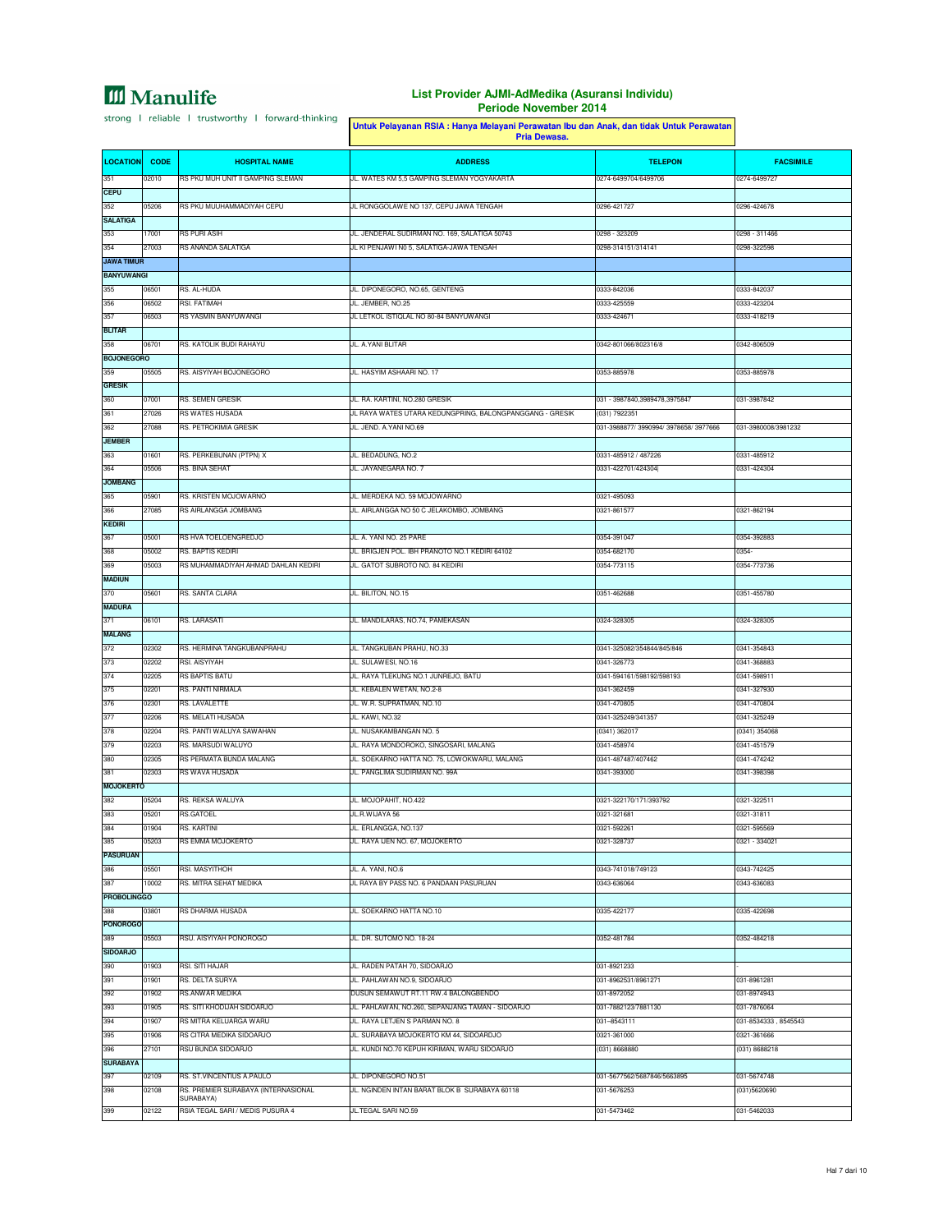### **List Provider AJMI-AdMedika (Asuransi Individu) Periode November 2014**

h

|                          |                | Untuk Pelayanan RSIA : Hanya Melayani Perawatan Ibu dan Anak, dan tidak Untuk Perawatan<br>Pria Dewasa. |                                                          |                                        |                            |
|--------------------------|----------------|---------------------------------------------------------------------------------------------------------|----------------------------------------------------------|----------------------------------------|----------------------------|
| <b>LOCATION</b>          | <b>CODE</b>    | <b>HOSPITAL NAME</b>                                                                                    | <b>ADDRESS</b>                                           | <b>TELEPON</b>                         | <b>FACSIMILE</b>           |
| 351                      | 02010          | RS PKU MUH UNIT II GAMPING SLEMAN                                                                       | JL. WATES KM 5,5 GAMPING SLEMAN YOGYAKARTA               | 0274-6499704/6499706                   | 0274-6499727               |
| <b>CEPU</b>              |                |                                                                                                         |                                                          |                                        |                            |
| 352                      | 05206          | RS PKU MUUHAMMADIYAH CEPU                                                                               | JL RONGGOLAWE NO 137, CEPU JAWA TENGAH                   | 0296-421727                            | 0296-424678                |
| <b>SALATIGA</b>          |                |                                                                                                         |                                                          |                                        |                            |
| 353                      | 17001          | RS PURI ASIH                                                                                            | JL. JENDERAL SUDIRMAN NO. 169, SALATIGA 50743            | 0298 - 323209                          | 0298 - 311466              |
| 354<br><b>JAWA TIMUR</b> | 27003          | RS ANANDA SALATIGA                                                                                      | JL KI PENJAWI N0 5, SALATIGA-JAWA TENGAH                 | 0298-314151/314141                     | 0298-322598                |
| <b>BANYUWANGI</b>        |                |                                                                                                         |                                                          |                                        |                            |
| 355                      | 06501          | RS. AL-HUDA                                                                                             | JL. DIPONEGORO, NO.65, GENTENG                           | 0333-842036                            | 0333-842037                |
| 356                      | 06502          | RSI. FATIMAH                                                                                            | JL. JEMBER, NO.25                                        | 0333-425559                            | 0333-423204                |
| 357                      | 06503          | RS YASMIN BANYUWANGI                                                                                    | JL LETKOL ISTIQLAL NO 80-84 BANYUWANGI                   | 0333-424671                            | 0333-418219                |
| <b>BLITAR</b>            |                |                                                                                                         |                                                          |                                        |                            |
| 358                      | 06701          | RS. KATOLIK BUDI RAHAYU                                                                                 | JL. A.YANI BLITAR                                        | 0342-801066/802316/8                   | 0342-806509                |
| <b>BOJONEGORO</b>        |                |                                                                                                         |                                                          |                                        |                            |
| 359                      | 05505          | RS. AISYIYAH BOJONEGORO                                                                                 | JL. HASYIM ASHAARI NO. 17                                | 0353-885978                            | 0353-885978                |
| <b>GRESIK</b>            |                |                                                                                                         |                                                          |                                        |                            |
| 360                      | 07001          | RS. SEMEN GRESIK                                                                                        | JL. RA. KARTINI, NO.280 GRESIK                           | 031 - 3987840,3989478,3975847          | 031-3987842                |
| 361                      | 27026          | <b>RS WATES HUSADA</b>                                                                                  | JL RAYA WATES UTARA KEDUNGPRING, BALONGPANGGANG - GRESIK | (031) 7922351                          |                            |
| 362                      | 27088          | RS. PETROKIMIA GRESIK                                                                                   | JL. JEND. A.YANI NO.69                                   | 031-3988877/ 3990994/ 3978658/ 3977666 | 031-3980008/3981232        |
| <b>JEMBER</b>            |                |                                                                                                         |                                                          |                                        |                            |
| 363                      | 01601          | RS. PERKEBUNAN (PTPN) X                                                                                 | JL. BEDADUNG, NO.2                                       | 0331-485912 / 487226                   | 0331-485912                |
| 364<br><b>JOMBANG</b>    | 05506          | RS. BINA SEHAT                                                                                          | JL. JAYANEGARA NO. 7                                     | 0331-422701/424304                     | 0331-424304                |
| 365                      | 05901          | RS. KRISTEN MOJOWARNO                                                                                   | JL. MERDEKA NO. 59 MOJOWARNO                             | 0321-495093                            |                            |
| 366                      | 27085          | RS AIRLANGGA JOMBANG                                                                                    | JL. AIRLANGGA NO 50 C JELAKOMBO, JOMBANG                 | 0321-861577                            | 0321-862194                |
| <b>KEDIRI</b>            |                |                                                                                                         |                                                          |                                        |                            |
| 367                      | 05001          | RS HVA TOELOENGREDJO                                                                                    | JL. A. YANI NO. 25 PARE                                  | 0354-391047                            | 0354-392883                |
| 368                      | 05002          | RS. BAPTIS KEDIRI                                                                                       | JL. BRIGJEN POL. IBH PRANOTO NO.1 KEDIRI 64102           | 0354-682170                            | 0354-                      |
| 369                      | 05003          | RS MUHAMMADIYAH AHMAD DAHLAN KEDIRI                                                                     | JL. GATOT SUBROTO NO. 84 KEDIRI                          | 0354-773115                            | 0354-773736                |
| <b>MADIUN</b>            |                |                                                                                                         |                                                          |                                        |                            |
| 370                      | 05601          | RS. SANTA CLARA                                                                                         | JL. BILITON, NO.15                                       | 0351-462688                            | 0351-455780                |
| <b>MADURA</b>            |                |                                                                                                         |                                                          |                                        |                            |
| 371                      | 06101          | RS. LARASATI                                                                                            | JL. MANDILARAS, NO.74, PAMEKASAN                         | 0324-328305                            | 0324-328305                |
| <b>MALANG</b>            |                |                                                                                                         |                                                          |                                        |                            |
| 372                      | 02302          | RS. HERMINA TANGKUBANPRAHU                                                                              | JL. TANGKUBAN PRAHU, NO.33                               | 0341-325082/354844/845/846             | 0341-354843                |
| 373                      | 02202          | RSI. AISYIYAH                                                                                           | JL. SULAWESI, NO.16                                      | 0341-326773                            | 0341-368883                |
| 374                      | 02205          | RS BAPTIS BATU                                                                                          | JL. RAYA TLEKUNG NO.1 JUNREJO, BATU                      | 0341-594161/598192/598193              | 0341-598911                |
| 375                      | 02201          | RS. PANTI NIRMALA<br>RS. LAVALETTE                                                                      | JL. KEBALEN WETAN, NO.2-8<br>JL. W.R. SUPRATMAN, NO.10   | 0341-362459                            | 0341-327930                |
| 376<br>377               | 02301<br>02206 | RS. MELATI HUSADA                                                                                       | JL. KAWI, NO.32                                          | 0341-470805<br>0341-325249/341357      | 0341-470804<br>0341-325249 |
| 378                      | 02204          | RS. PANTI WALUYA SAWAHAN                                                                                | JL. NUSAKAMBANGAN NO. 5                                  | (0341) 362017                          | (0341) 354068              |
| 379                      | 02203          | RS. MARSUDI WALUYO                                                                                      | JL. RAYA MONDOROKO, SINGOSARI, MALANG                    | 0341-458974                            | 0341-451579                |
| 380                      | 02305          | RS PERMATA BUNDA MALANG                                                                                 | JL. SOEKARNO HATTA NO. 75, LOWOKWARU, MALANG             | 0341-487487/407462                     | 0341-474242                |
| 381                      | 02303          | RS WAVA HUSADA                                                                                          | JL. PANGLIMA SUDIRMAN NO. 99A                            | 0341-393000                            | 0341-398398                |
| <b>MOJOKERTO</b>         |                |                                                                                                         |                                                          |                                        |                            |
| 382                      | 05204          | RS. REKSA WALUYA                                                                                        | JL. MOJOPAHIT, NO.422                                    | 0321-322170/171/393792                 | 0321-322511                |
| 383                      | 05201          | RS.GATOEL                                                                                               | JL.R.WIJAYA 56                                           | 0321-321681                            | 0321-31811                 |
| 384                      | 01904          | RS. KARTINI                                                                                             | JL. ERLANGGA, NO.137                                     | 0321-592261                            | 0321-595569                |
| 385                      | 05203          | RS EMMA MOJOKERTO                                                                                       | JL. RAYA IJEN NO. 67, MOJOKERTO                          | 0321-328737                            | 0321 - 334021              |
| <b>PASURUAN</b>          |                |                                                                                                         |                                                          |                                        |                            |
| 386                      | 05501          | RSI. MASYITHOH                                                                                          | JL. A. YANI, NO.6                                        | 0343-741018/749123                     | 0343-742425                |
| 387                      | 10002          | RS. MITRA SEHAT MEDIKA                                                                                  | JL RAYA BY PASS NO. 6 PANDAAN PASURUAN                   | 0343-636064                            | 0343-636083                |
| <b>PROBOLINGGO</b>       |                |                                                                                                         |                                                          |                                        |                            |
| 388                      | 03801          | RS DHARMA HUSADA                                                                                        | JL. SOEKARNO HATTA NO.10                                 | 0335-422177                            | 0335-422698                |
| <b>PONOROGO</b>          |                |                                                                                                         | JL. DR. SUTOMO NO. 18-24                                 |                                        | 0352-484218                |
| 389<br><b>SIDOARJO</b>   | 05503          | RSU. AISYIYAH PONOROGO                                                                                  |                                                          | 0352-481784                            |                            |
| 390                      | 01903          | RSI. SITI HAJAR                                                                                         | JL. RADEN PATAH 70, SIDOARJO                             | 031-8921233                            |                            |
| 391                      | 01901          | RS. DELTA SURYA                                                                                         | JL. PAHLAWAN NO.9, SIDOARJO                              | 031-8962531/8961271                    | 031-8961281                |
| 392                      | 01902          | <b>RS.ANWAR MEDIKA</b>                                                                                  | DUSUN SEMAWUT RT.11 RW.4 BALONGBENDO                     | 031-8972052                            | 031-8974943                |
| 393                      | 01905          | RS. SITI KHODIJAH SIDOARJO                                                                              | JL. PAHLAWAN, NO.260, SEPANJANG TAMAN - SIDOARJO         | 031-7882123/7881130                    | 031-7876064                |
| 394                      | 01907          | RS MITRA KELUARGA WARU                                                                                  | JL. RAYA LETJEN S PARMAN NO. 8                           | 031-8543111                            | 031-8534333, 8545543       |
| 395                      | 01906          | RS CITRA MEDIKA SIDOARJO                                                                                | JL. SURABAYA MOJOKERTO KM 44, SIDOARDJO                  | 0321-361000                            | 0321-361666                |
| 396                      | 27101          | RSU BUNDA SIDOARJO                                                                                      | JL. KUNDI NO.70 KEPUH KIRIMAN, WARU SIDOARJO             | (031) 8668880                          | (031) 8688218              |
| <b>SURABAYA</b>          |                |                                                                                                         |                                                          |                                        |                            |
| 397                      | 02109          | RS. ST.VINCENTIUS A.PAULO                                                                               | JL. DIPONEGORO NO.51                                     | 031-5677562/5687846/5663895            | 031-5674748                |
| 398                      | 02108          | RS. PREMIER SURABAYA (INTERNASIONAL                                                                     | JL. NGINDEN INTAN BARAT BLOK B SURABAYA 60118            | 031-5676253                            | (031)5620690               |
| 399                      | 02122          | SURABAYA)<br>RSIA TEGAL SARI / MEDIS PUSURA 4                                                           | JL.TEGAL SARI NO.59                                      | 031-5473462                            | 031-5462033                |
|                          |                |                                                                                                         |                                                          |                                        |                            |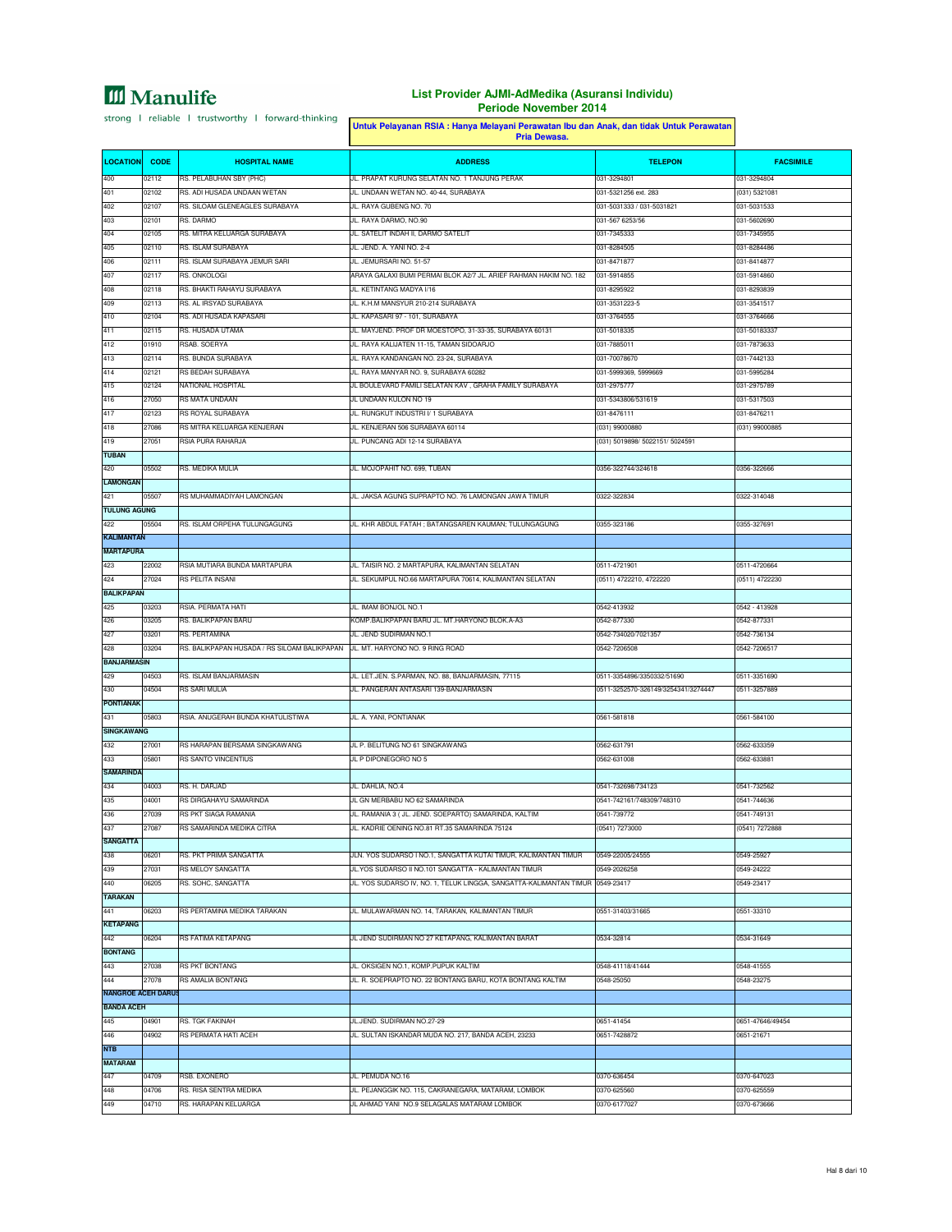|                           |                |                                                      | Untuk Pelayanan RSIA : Hanya Melayani Perawatan Ibu dan Anak, dan tidak Untuk Perawatan<br>Pria Dewasa. |                                     |                             |
|---------------------------|----------------|------------------------------------------------------|---------------------------------------------------------------------------------------------------------|-------------------------------------|-----------------------------|
| <b>LOCATION</b>           | <b>CODE</b>    | <b>HOSPITAL NAME</b>                                 | <b>ADDRESS</b>                                                                                          | <b>TELEPON</b>                      | <b>FACSIMILE</b>            |
| 400                       | 02112          | RS. PELABUHAN SBY (PHC)                              | JL. PRAPAT KURUNG SELATAN NO. 1 TANJUNG PERAK                                                           | 031-3294801                         | 031-3294804                 |
| 401                       | 02102          | RS. ADI HUSADA UNDAAN WETAN                          | JL. UNDAAN WETAN NO. 40-44, SURABAYA                                                                    | 031-5321256 ext. 283                | (031) 5321081               |
| 402                       | 02107          | RS. SILOAM GLENEAGLES SURABAYA                       | JL. RAYA GUBENG NO. 70                                                                                  | 031-5031333 / 031-5031821           | 031-5031533                 |
| 403                       | 02101          | RS. DARMO                                            | JL. RAYA DARMO, NO.90                                                                                   | 031-567 6253/56                     | 031-5602690                 |
| 404                       | 02105          | RS. MITRA KELUARGA SURABAYA                          | JL. SATELIT INDAH II, DARMO SATELIT                                                                     | 031-7345333                         | 031-7345955                 |
| 405                       | 02110          | RS. ISLAM SURABAYA                                   | JL. JEND. A. YANI NO. 2-4                                                                               | 031-8284505                         | 031-8284486                 |
| 406                       | 02111          | RS. ISLAM SURABAYA JEMUR SARI                        | JL. JEMURSARI NO. 51-57                                                                                 | 031-8471877                         | 031-8414877                 |
| 407                       | 02117          | RS. ONKOLOGI                                         | ARAYA GALAXI BUMI PERMAI BLOK A2/7 JL. ARIEF RAHMAN HAKIM NO. 182                                       | 031-5914855                         | 031-5914860                 |
| 408                       | 02118          | RS. BHAKTI RAHAYU SURABAYA                           | JL. KETINTANG MADYA I/16                                                                                | 031-8295922                         | 031-8293839                 |
| 409                       | 02113          | RS. AL IRSYAD SURABAYA                               | JL. K.H.M MANSYUR 210-214 SURABAYA                                                                      | 031-3531223-5                       | 031-3541517                 |
| 410<br>411                | 02104<br>02115 | RS. ADI HUSADA KAPASARI<br>RS. HUSADA UTAMA          | JL. KAPASARI 97 - 101, SURABAYA<br>JL. MAYJEND. PROF DR MOESTOPO, 31-33-35, SURABAYA 60131              | 031-3764555<br>031-5018335          | 031-3764666<br>031-50183337 |
| 412                       | 01910          | RSAB. SOERYA                                         | JL. RAYA KALIJATEN 11-15, TAMAN SIDOARJO                                                                | 031-7885011                         | 031-7873633                 |
| 413                       | 02114          | RS. BUNDA SURABAYA                                   | JL. RAYA KANDANGAN NO. 23-24, SURABAYA                                                                  | 031-70078670                        | 031-7442133                 |
| 414                       | 02121          | RS BEDAH SURABAYA                                    | JL. RAYA MANYAR NO. 9, SURABAYA 60282                                                                   | 031-5999369, 5999669                | 031-5995284                 |
| 415                       | 02124          | NATIONAL HOSPITAL                                    | JL BOULEVARD FAMILI SELATAN KAV, GRAHA FAMILY SURABAYA                                                  | 031-2975777                         | 031-2975789                 |
| 416                       | 27050          | RS MATA UNDAAN                                       | JL UNDAAN KULON NO 19                                                                                   | 031-5343806/531619                  | 031-5317503                 |
| 417                       | 02123          | RS ROYAL SURABAYA                                    | JL. RUNGKUT INDUSTRI I/ 1 SURABAYA                                                                      | 031-8476111                         | 031-8476211                 |
| 418                       | 27086          | RS MITRA KELUARGA KENJERAN                           | JL. KENJERAN 506 SURABAYA 60114                                                                         | (031) 99000880                      | (031) 99000885              |
| 419                       | 27051          | RSIA PURA RAHARJA                                    | JL. PUNCANG ADI 12-14 SURABAYA                                                                          | (031) 5019898/ 5022151/ 5024591     |                             |
| <b>TUBAN</b>              |                |                                                      |                                                                                                         |                                     |                             |
| 420                       | 05502          | RS. MEDIKA MULIA                                     | JL. MOJOPAHIT NO. 699, TUBAN                                                                            | 0356-322744/324618                  | 0356-322666                 |
| <b>LAMONGAN</b>           |                |                                                      |                                                                                                         |                                     |                             |
| 421                       | 05507          | RS MUHAMMADIYAH LAMONGAN                             | JL. JAKSA AGUNG SUPRAPTO NO. 76 LAMONGAN JAWA TIMUR                                                     | 0322-322834                         | 0322-314048                 |
| <b>TULUNG AGUNG</b>       |                |                                                      |                                                                                                         |                                     |                             |
| 422                       | 05504          | RS. ISLAM ORPEHA TULUNGAGUNG                         | JL. KHR ABDUL FATAH ; BATANGSAREN KAUMAN; TULUNGAGUNG                                                   | 0355-323186                         | 0355-327691                 |
| <b>KALIMANTAN</b>         |                |                                                      |                                                                                                         |                                     |                             |
| <b>MARTAPURA</b><br>423   | 22002          | RSIA MUTIARA BUNDA MARTAPURA                         | JL. TAISIR NO. 2 MARTAPURA, KALIMANTAN SELATAN                                                          | 0511-4721901                        | 0511-4720664                |
| 424                       | 27024          | RS PELITA INSANI                                     | JL. SEKUMPUL NO.66 MARTAPURA 70614, KALIMANTAN SELATAN                                                  | (0511) 4722210, 4722220             | (0511) 4722230              |
| <b>BALIKPAPAN</b>         |                |                                                      |                                                                                                         |                                     |                             |
| 425                       | 03203          | RSIA. PERMATA HATI                                   | JL. IMAM BONJOL NO.1                                                                                    | 0542-413932                         | 0542 - 413928               |
| 426                       | 03205          | RS. BALIKPAPAN BARU                                  | KOMP.BALIKPAPAN BARU JL. MT.HARYONO BLOK.A-A3                                                           | 0542-877330                         | 0542-877331                 |
| 427                       | 03201          | RS. PERTAMINA                                        | JL. JEND SUDIRMAN NO.1                                                                                  | 0542-734020/7021357                 | 0542-736134                 |
| 428                       | 03204          | RS. BALIKPAPAN HUSADA / RS SILOAM BALIKPAPAN         | JL. MT. HARYONO NO. 9 RING ROAD                                                                         | 0542-7206508                        | 0542-7206517                |
| <b>BANJARMASIN</b>        |                |                                                      |                                                                                                         |                                     |                             |
| 429                       | 04503          | RS. ISLAM BANJARMASIN                                | JL. LET.JEN. S.PARMAN, NO. 88, BANJARMASIN, 77115                                                       | 0511-3354896/3350332/51690          | 0511-3351690                |
| 430                       | 04504          | <b>RS SARI MULIA</b>                                 | JL. PANGERAN ANTASARI 139-BANJARMASIN                                                                   | 0511-3252570-326149/3254341/3274447 | 0511-3257889                |
| <b>PONTIANAK</b>          |                |                                                      |                                                                                                         |                                     |                             |
| 431                       | 05803          | RSIA. ANUGERAH BUNDA KHATULISTIWA                    | JL. A. YANI, PONTIANAK                                                                                  | 0561-581818                         | 0561-584100                 |
| <b>SINGKAWANG</b>         |                |                                                      |                                                                                                         |                                     | 0562-633359                 |
| 432<br>433                | 27001<br>05801 | RS HARAPAN BERSAMA SINGKAWANG<br>RS SANTO VINCENTIUS | JL P. BELITUNG NO 61 SINGKAWANG<br>JL P DIPONEGORO NO 5                                                 | 0562-631791<br>0562-631008          | 0562-633881                 |
| <b>SAMARINDA</b>          |                |                                                      |                                                                                                         |                                     |                             |
| 434                       | 04003          | RS. H. DARJAD                                        | JL. DAHLIA, NO.4                                                                                        | 0541-732698/734123                  | 0541-732562                 |
| 435                       | 04001          | RS DIRGAHAYU SAMARINDA                               | JL GN MERBABU NO 62 SAMARINDA                                                                           | 0541-742161/748309/748310           | 0541-744636                 |
| 436                       | 27039          | RS PKT SIAGA RAMANIA                                 | JL. RAMANIA 3 ( JL. JEND. SOEPARTO) SAMARINDA, KALTIM                                                   | 0541-739772                         | 0541-749131                 |
| 437                       | 27087          | RS SAMARINDA MEDIKA CITRA                            | JL. KADRIE OENING NO.81 RT.35 SAMARINDA 75124                                                           | (0541) 7273000                      | (0541) 7272888              |
| <b>SANGATTA</b>           |                |                                                      |                                                                                                         |                                     |                             |
| 438                       | 06201          | RS. PKT PRIMA SANGATTA                               | JLN. YOS SUDARSO I NO.1, SANGATTA KUTAI TIMUR, KALIMANTAN TIMUR                                         | 0549-22005/24555                    | 0549-25927                  |
| 439                       | 27031          | RS MELOY SANGATTA                                    | JL.YOS SUDARSO II NO.101 SANGATTA - KALIMANTAN TIMUR                                                    | 0549-2026258                        | 0549-24222                  |
| 440                       | 06205          | RS. SOHC, SANGATTA                                   | JL. YOS SUDARSO IV, NO. 1, TELUK LINGGA, SANGATTA-KALIMANTAN TIMUR                                      | 0549-23417                          | 0549-23417                  |
| <b>TARAKAN</b>            |                |                                                      |                                                                                                         |                                     |                             |
| 441                       | 06203          | RS PERTAMINA MEDIKA TARAKAN                          | JL. MULAWARMAN NO. 14, TARAKAN, KALIMANTAN TIMUR                                                        | 0551-31403/31665                    | 0551-33310                  |
| <b>KETAPANG</b>           |                |                                                      |                                                                                                         |                                     |                             |
| 442<br><b>BONTANG</b>     | 06204          | RS FATIMA KETAPANG                                   | JL JEND SUDIRMAN NO 27 KETAPANG, KALIMANTAN BARAT                                                       | 0534-32814                          | 0534-31649                  |
| 443                       | 27038          | <b>RS PKT BONTANG</b>                                | JL. OKSIGEN NO.1, KOMP.PUPUK KALTIM                                                                     | 0548-41118/41444                    | 0548-41555                  |
| 444                       | 27078          | <b>RS AMALIA BONTANG</b>                             | JL. R. SOEPRAPTO NO. 22 BONTANG BARU, KOTA BONTANG KALTIM                                               | 0548-25050                          | 0548-23275                  |
| <b>NANGROE ACEH DARUS</b> |                |                                                      |                                                                                                         |                                     |                             |
| <b>BANDA ACEH</b>         |                |                                                      |                                                                                                         |                                     |                             |
| 445                       | 04901          | RS. TGK FAKINAH                                      | JL.JEND. SUDIRMAN NO.27-29                                                                              | 0651-41454                          | 0651-47646/49454            |
| 446                       | 04902          | RS PERMATA HATI ACEH                                 | JL. SULTAN ISKANDAR MUDA NO. 217, BANDA ACEH, 23233                                                     | 0651-7428872                        | 0651-21671                  |
| <b>NTB</b>                |                |                                                      |                                                                                                         |                                     |                             |
| <b>MATARAM</b>            |                |                                                      |                                                                                                         |                                     |                             |
| 447                       | 04709          | RSB. EXONERO                                         | JL. PEMUDA NO.16                                                                                        | 0370-636454                         | 0370-647023                 |
| 448                       | 04706          | RS. RISA SENTRA MEDIKA                               | JL. PEJANGGIK NO. 115, CAKRANEGARA, MATARAM, LOMBOK                                                     | 0370-625560                         | 0370-625559                 |
| 449                       | 04710          | RS. HARAPAN KELUARGA                                 | JL AHMAD YANI NO.9 SELAGALAS MATARAM LOMBOK                                                             | 0370-6177027                        | 0370-673666                 |
|                           |                |                                                      |                                                                                                         |                                     |                             |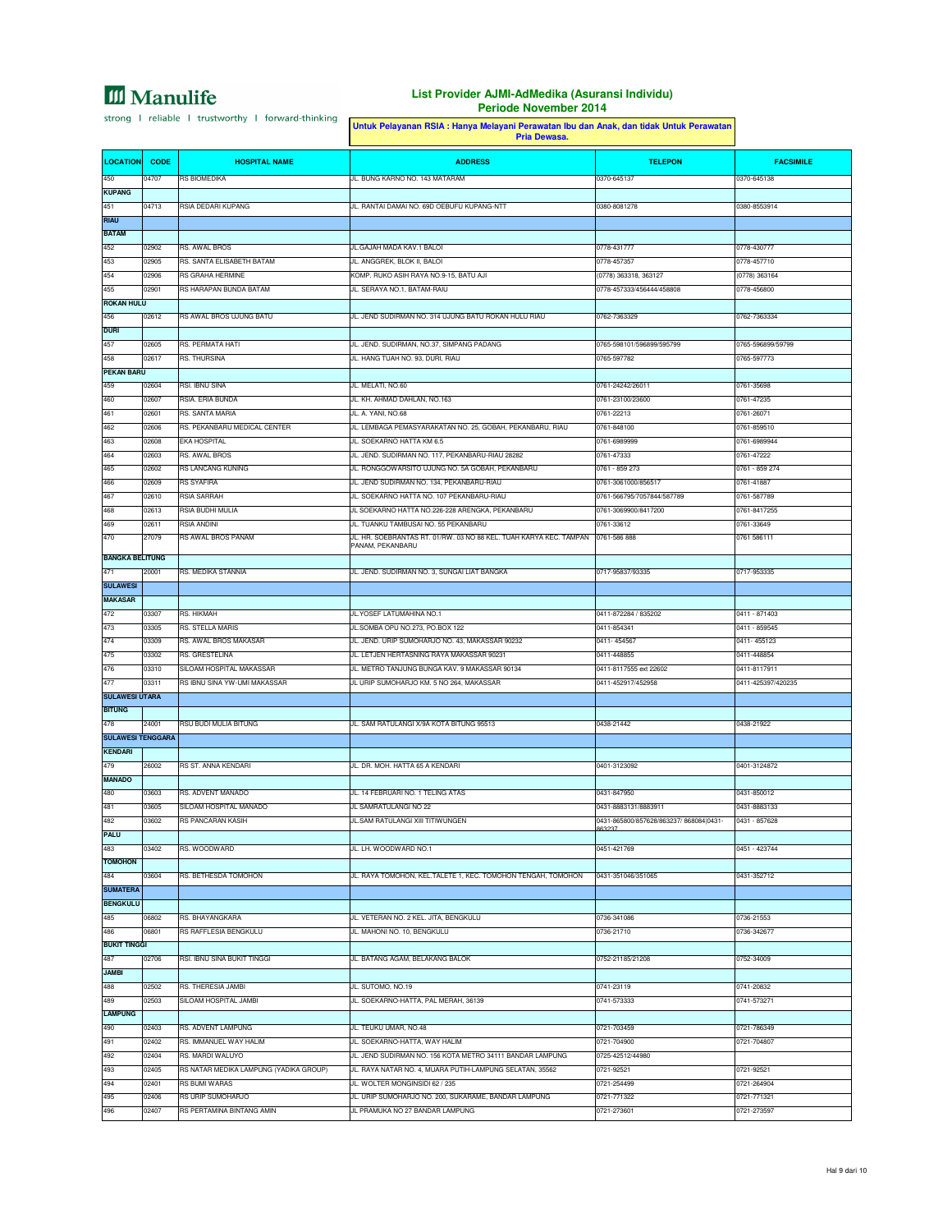|                               |                |                                                          | Untuk Pelayanan RSIA : Hanya Melayani Perawatan Ibu dan Anak, dan tidak Untuk Perawatan<br>Pria Dewasa. |                                                   |                                    |
|-------------------------------|----------------|----------------------------------------------------------|---------------------------------------------------------------------------------------------------------|---------------------------------------------------|------------------------------------|
| <b>LOCATION</b>               | <b>CODE</b>    | <b>HOSPITAL NAME</b>                                     | <b>ADDRESS</b>                                                                                          | <b>TELEPON</b>                                    | <b>FACSIMILE</b>                   |
| 450                           | 04707          | RS BIOMEDIKA                                             | JL. BUNG KARNO NO. 143 MATARAM                                                                          | 0370-645137                                       | 0370-645138                        |
| <b>KUPANG</b>                 |                |                                                          |                                                                                                         |                                                   |                                    |
| 451                           | 04713          | RSIA DEDARI KUPANG                                       | JL. RANTAI DAMAI NO. 69D OEBUFU KUPANG-NTT                                                              | 0380-8081278                                      | 0380-8553914                       |
| <b>RIAU</b><br><b>BATAM</b>   |                |                                                          |                                                                                                         |                                                   |                                    |
| 452                           | 02902          | RS. AWAL BROS                                            | JL.GAJAH MADA KAV.1 BALOI                                                                               | 0778-431777                                       | 0778-430777                        |
| 453                           | 02905          | RS. SANTA ELISABETH BATAM                                | JL. ANGGREK, BLOK II, BALOI                                                                             | 0778-457357                                       | 0778-457710                        |
| 454                           | 02906          | RS GRAHA HERMINE                                         | KOMP. RUKO ASIH RAYA NO.9-15, BATU AJI                                                                  | (0778) 363318, 363127                             | (0778) 363164                      |
| 455                           | 02901          | RS HARAPAN BUNDA BATAM                                   | JL. SERAYA NO.1, BATAM-RAIU                                                                             | 0778-457333/456444/458808                         | 0778-456800                        |
| <b>ROKAN HULU</b>             |                |                                                          |                                                                                                         |                                                   |                                    |
| 456                           | 02612          | RS AWAL BROS UJUNG BATU                                  | JL. JEND SUDIRMAN NO. 314 UJUNG BATU ROKAN HULU RIAU                                                    | 0762-7363329                                      | 0762-7363334                       |
| <b>DURI</b>                   |                |                                                          |                                                                                                         | 0765-598101/596899/595799                         |                                    |
| 457<br>458                    | 02605<br>02617 | RS. PERMATA HATI<br>RS. THURSINA                         | JL. JEND. SUDIRMAN, NO.37, SIMPANG PADANG<br>JL. HANG TUAH NO. 93, DURI, RIAU                           | 0765-597782                                       | 0765-596899/59799<br>0765-597773   |
| <b>PEKAN BARU</b>             |                |                                                          |                                                                                                         |                                                   |                                    |
| 459                           | 02604          | RSI. IBNU SINA                                           | JL. MELATI, NO.60                                                                                       | 0761-24242/26011                                  | 0761-35698                         |
| 460                           | 02607          | RSIA. ERIA BUNDA                                         | JL. KH. AHMAD DAHLAN, NO.163                                                                            | 0761-23100/23600                                  | 0761-47235                         |
| 461                           | 02601          | RS. SANTA MARIA                                          | JL. A. YANI, NO.68                                                                                      | 0761-22213                                        | 0761-26071                         |
| 462                           | 02606          | RS. PEKANBARU MEDICAL CENTER                             | JL. LEMBAGA PEMASYARAKATAN NO. 25, GOBAH, PEKANBARU, RIAU                                               | 0761-848100                                       | 0761-859510                        |
| 463                           | 02608          | EKA HOSPITAL                                             | JL. SOEKARNO HATTA KM 6.5                                                                               | 0761-6989999                                      | 0761-6989944                       |
| 464                           | 02603          | <b>RS. AWAL BROS</b>                                     | JL. JEND. SUDIRMAN NO. 117, PEKANBARU-RIAU 28282                                                        | 0761-47333                                        | 0761-47222                         |
| 465                           | 02602          | <b>RS LANCANG KUNING</b>                                 | JL. RONGGOWARSITO UJUNG NO. 5A GOBAH, PEKANBARU                                                         | 0761 - 859 273                                    | 0761 - 859 274                     |
| 466<br>467                    | 02609<br>02610 | <b>RS SYAFIRA</b><br>RSIA SARRAH                         | JL. JEND SUDIRMAN NO. 134, PEKANBARU-RIAU<br>JL. SOEKARNO HATTA NO. 107 PEKANBARU-RIAU                  | 0761-3061000/856517<br>0761-566795/7057844/587789 | 0761-41887<br>0761-587789          |
| 468                           | 02613          | RSIA BUDHI MULIA                                         | JL SOEKARNO HATTA NO.226-228 ARENGKA, PEKANBARU                                                         | 0761-3069900/8417200                              | 0761-8417255                       |
| 469                           | 02611          | RSIA ANDINI                                              | JL. TUANKU TAMBUSAI NO. 55 PEKANBARU                                                                    | 0761-33612                                        | 0761-33649                         |
| 470                           | 27079          | RS AWAL BROS PANAM                                       | JL. HR. SOEBRANTAS RT. 01/RW. 03 NO 88 KEL. TUAH KARYA KEC. TAMPAN                                      | 0761-586 888                                      | 0761 586111                        |
|                               |                |                                                          | PANAM, PEKANBARU                                                                                        |                                                   |                                    |
| <b>BANGKA BELITUNG</b><br>471 | 20001          | RS. MEDIKA STANNIA                                       | JL. JEND. SUDIRMAN NO. 3, SUNGAI LIAT BANGKA                                                            | 0717-95837/93335                                  | 0717-953335                        |
| <b>SULAWESI</b>               |                |                                                          |                                                                                                         |                                                   |                                    |
| <b>MAKASAR</b>                |                |                                                          |                                                                                                         |                                                   |                                    |
| 472                           | 03307          | RS. HIKMAH                                               | JL.YOSEF LATUMAHINA NO.1                                                                                | 0411-872284 / 835202                              | 0411 - 871403                      |
| 473                           | 03305          | RS. STELLA MARIS                                         | JL.SOMBA OPU NO.273, PO.BOX 122                                                                         | 0411-854341                                       | 0411 - 859545                      |
| 474                           | 03309          | RS. AWAL BROS MAKASAR                                    | JL. JEND. URIP SUMOHARJO NO. 43, MAKASSAR 90232                                                         | 0411-454567                                       | 0411-455123                        |
| 475                           | 03302          | RS. GRESTELINA                                           | JL. LETJEN HERTASNING RAYA MAKASSAR 90231                                                               | 0411-448855                                       | 0411-448854                        |
| 476<br>477                    | 03310<br>03311 | SILOAM HOSPITAL MAKASSAR<br>RS IBNU SINA YW-UMI MAKASSAR | JL. METRO TANJUNG BUNGA KAV. 9 MAKASSAR 90134<br>JL URIP SUMOHARJO KM. 5 NO 264, MAKASSAR               | 0411-8117555 ext 22602<br>0411-452917/452958      | 0411-8117911<br>0411-425397/420235 |
| <b>SULAWESI UTARA</b>         |                |                                                          |                                                                                                         |                                                   |                                    |
| <b>BITUNG</b>                 |                |                                                          |                                                                                                         |                                                   |                                    |
| 478                           | 24001          | RSU BUDI MULIA BITUNG                                    | JL. SAM RATULANGI X/9A KOTA BITUNG 95513                                                                | 0438-21442                                        | 0438-21922                         |
| <b>SULAWESI TENGGARA</b>      |                |                                                          |                                                                                                         |                                                   |                                    |
| <b>KENDARI</b>                |                |                                                          |                                                                                                         |                                                   |                                    |
| 479                           | 26002          | RS ST. ANNA KENDARI                                      | JL. DR. MOH. HATTA 65 A KENDARI                                                                         | 0401-3123092                                      | 0401-3124872                       |
| <b>MANADO</b>                 |                |                                                          | JL. 14 FEBRUARI NO. 1 TELING ATAS                                                                       |                                                   |                                    |
| 480<br>481                    | 03603<br>03605 | RS. ADVENT MANADO<br>SILOAM HOSPITAL MANADO              | JL SAMRATULANGI NO 22                                                                                   | 0431-847950<br>0431-8883131/8883911               | 0431-850012<br>0431-8883133        |
| 482                           | 03602          | RS PANCARAN KASIH                                        | JL.SAM RATULANGI XIII TITIWUNGEN                                                                        | 0431-865800/857628/863237/868084 0431-            | 0431 - 857628                      |
| <b>PALU</b>                   |                |                                                          |                                                                                                         | 863237                                            |                                    |
| 483                           | 03402          | RS. WOODWARD                                             | JL. LH. WOODWARD NO.1                                                                                   | 0451-421769                                       | 0451 - 423744                      |
| <b>TOMOHON</b>                |                |                                                          |                                                                                                         |                                                   |                                    |
| 484                           | 03604          | RS. BETHESDA TOMOHON                                     | JL. RAYA TOMOHON, KEL.TALETE 1, KEC. TOMOHON TENGAH, TOMOHON                                            | 0431-351046/351065                                | 0431-352712                        |
| <b>SUMATERA</b>               |                |                                                          |                                                                                                         |                                                   |                                    |
| <b>BENGKULU</b>               |                |                                                          |                                                                                                         |                                                   |                                    |
| 485<br>486                    | 06802<br>06801 | RS. BHAYANGKARA<br>RS RAFFLESIA BENGKULU                 | JL. VETERAN NO. 2 KEL. JITA, BENGKULU<br>JL. MAHONI NO. 10, BENGKULU                                    | 0736-341086<br>0736-21710                         | 0736-21553<br>0736-342677          |
| <b>BUKIT TINGGI</b>           |                |                                                          |                                                                                                         |                                                   |                                    |
| 487                           | 02706          | RSI. IBNU SINA BUKIT TINGGI                              | JL. BATANG AGAM, BELAKANG BALOK                                                                         | 0752-21185/21208                                  | 0752-34009                         |
| <b>JAMBI</b>                  |                |                                                          |                                                                                                         |                                                   |                                    |
| 488                           | 02502          | RS. THERESIA JAMBI                                       | JL. SUTOMO, NO.19                                                                                       | 0741-23119                                        | 0741-20832                         |
| 489                           | 02503          | SILOAM HOSPITAL JAMBI                                    | JL. SOEKARNO-HATTA, PAL MERAH, 36139                                                                    | 0741-573333                                       | 0741-573271                        |
| <b>LAMPUNG</b>                |                |                                                          |                                                                                                         |                                                   |                                    |
| 490                           | 02403          | RS. ADVENT LAMPUNG                                       | JL. TEUKU UMAR, NO.48                                                                                   | 0721-703459                                       | 0721-786349                        |
| 491<br>492                    | 02402<br>02404 | RS. IMMANUEL WAY HALIM<br>RS. MARDI WALUYO               | JL. SOEKARNO-HATTA, WAY HALIM<br>JL. JEND SUDIRMAN NO. 156 KOTA METRO 34111 BANDAR LAMPUNG              | 0721-704900<br>0725-42512/44980                   | 0721-704807                        |
| 493                           | 02405          | RS NATAR MEDIKA LAMPUNG (YADIKA GROUP)                   | JL. RAYA NATAR NO. 4, MUARA PUTIH-LAMPUNG SELATAN, 35562                                                | 0721-92521                                        | 0721-92521                         |
| 494                           | 02401          | RS BUMI WARAS                                            | JL. WOLTER MONGINSIDI 62 / 235                                                                          | 0721-254499                                       | 0721-264904                        |
| 495                           | 02406          | RS URIP SUMOHARJO                                        | JL. URIP SUMOHARJO NO. 200, SUKARAME, BANDAR LAMPUNG                                                    | 0721-771322                                       | 0721-771321                        |
| 496                           | 02407          | RS PERTAMINA BINTANG AMIN                                | JL PRAMUKA NO 27 BANDAR LAMPUNG                                                                         | 0721-273601                                       | 0721-273597                        |